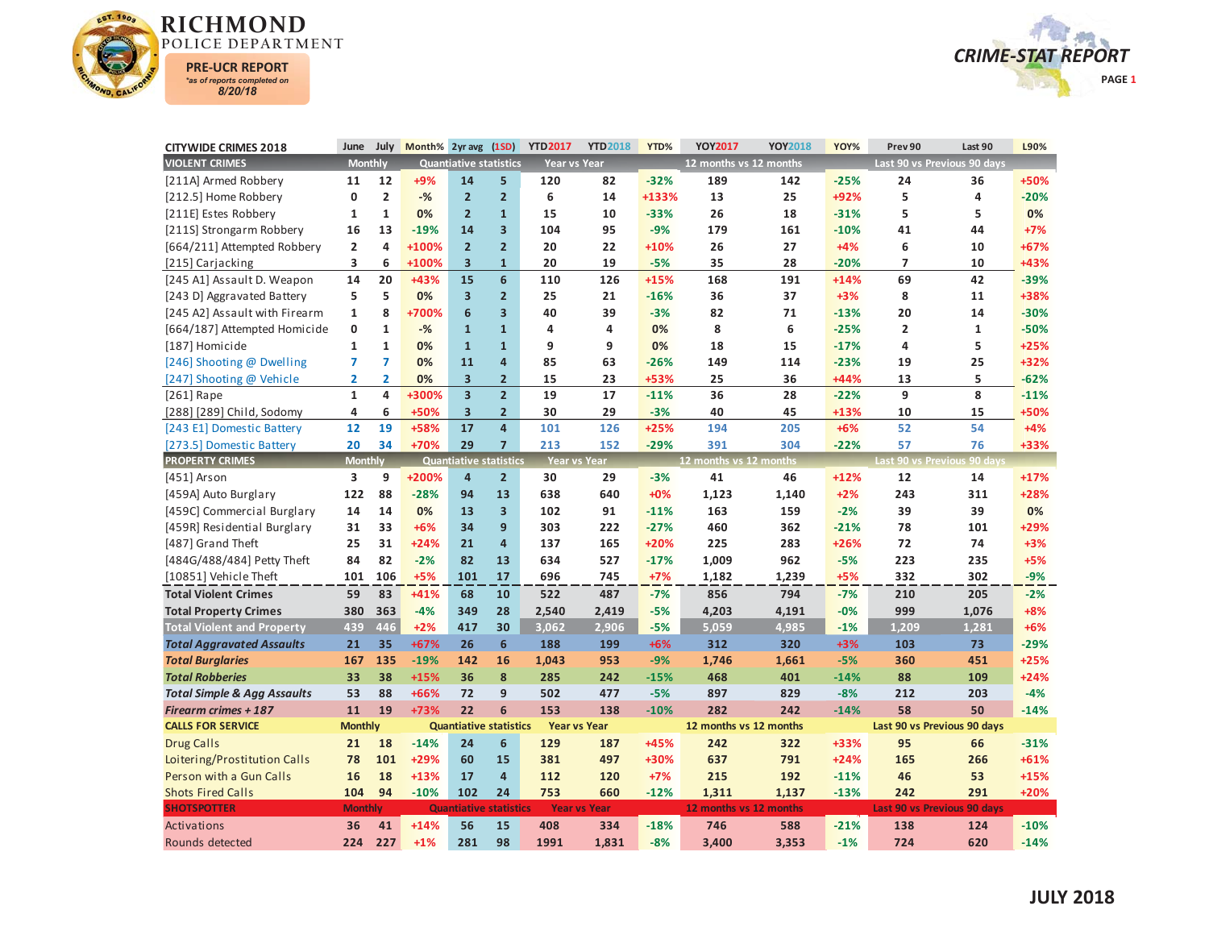



| <b>CITYWIDE CRIMES 2018</b>            | June           | July           | Month% 2yr avg |                               | (1SD)                   | <b>YTD2017</b>      | <b>YTD2018</b>      | YTD%   | YOY2017                | YOY2018 | YOY%   | Prev 90                 | Last 90                     | L90%   |
|----------------------------------------|----------------|----------------|----------------|-------------------------------|-------------------------|---------------------|---------------------|--------|------------------------|---------|--------|-------------------------|-----------------------------|--------|
| <b>VIOLENT CRIMES</b>                  | <b>Monthly</b> |                |                | <b>Quantiative statistics</b> |                         | <b>Year vs Year</b> |                     |        | 12 months vs 12 months |         |        |                         | Last 90 vs Previous 90 days |        |
| [211A] Armed Robbery                   | 11             | 12             | +9%            | 14                            | 5                       | 120                 | 82                  | $-32%$ | 189                    | 142     | $-25%$ | 24                      | 36                          | +50%   |
| [212.5] Home Robbery                   | 0              | $\overline{2}$ | $-%$           | $\overline{2}$                | $\overline{2}$          | 6                   | 14                  | +133%  | 13                     | 25      | +92%   | 5                       | 4                           | $-20%$ |
| [211E] Estes Robbery                   | $\mathbf{1}$   | $\mathbf{1}$   | 0%             | $\overline{2}$                | $\mathbf{1}$            | 15                  | 10                  | $-33%$ | 26                     | 18      | $-31%$ | 5                       | 5                           | 0%     |
| [211S] Strongarm Robbery               | 16             | 13             | $-19%$         | 14                            | $\overline{\mathbf{3}}$ | 104                 | 95                  | $-9%$  | 179                    | 161     | $-10%$ | 41                      | 44                          | $+7%$  |
| [664/211] Attempted Robbery            | $\overline{2}$ | 4              | +100%          | $\overline{2}$                | $\overline{2}$          | 20                  | 22                  | +10%   | 26                     | 27      | $+4%$  | 6                       | 10                          | +67%   |
| [215] Carjacking                       | 3              | 6              | +100%          | $\overline{\mathbf{3}}$       | $\mathbf{1}$            | 20                  | 19                  | $-5%$  | 35                     | 28      | $-20%$ | 7                       | 10                          | +43%   |
| [245 A1] Assault D. Weapon             | 14             | 20             | +43%           | 15                            | $6\phantom{1}$          | 110                 | 126                 | $+15%$ | 168                    | 191     | $+14%$ | 69                      | 42                          | $-39%$ |
| [243 D] Aggravated Battery             | 5              | 5              | 0%             | $\overline{\mathbf{3}}$       | $\overline{2}$          | 25                  | 21                  | $-16%$ | 36                     | 37      | $+3%$  | 8                       | 11                          | +38%   |
| [245 A2] Assault with Firearm          | $\mathbf{1}$   | 8              | +700%          | $6\phantom{1}$                | $\overline{\mathbf{3}}$ | 40                  | 39                  | $-3%$  | 82                     | 71      | $-13%$ | 20                      | 14                          | $-30%$ |
| [664/187] Attempted Homicide           | 0              | $\mathbf{1}$   | $-$ %          | $\mathbf{1}$                  | $\mathbf{1}$            | 4                   | 4                   | 0%     | 8                      | 6       | $-25%$ | $\overline{\mathbf{c}}$ | $\mathbf{1}$                | $-50%$ |
| [187] Homicide                         | $\mathbf 1$    | $\mathbf{1}$   | 0%             | $\mathbf{1}$                  | $\mathbf{1}$            | 9                   | 9                   | 0%     | 18                     | 15      | $-17%$ | 4                       | 5                           | $+25%$ |
| [246] Shooting @ Dwelling              | $\overline{7}$ | 7              | 0%             | 11                            | $\overline{a}$          | 85                  | 63                  | $-26%$ | 149                    | 114     | $-23%$ | 19                      | 25                          | +32%   |
| [247] Shooting @ Vehicle               | $\overline{2}$ | $\overline{2}$ | 0%             | $\overline{\mathbf{3}}$       | $\overline{2}$          | 15                  | 23                  | +53%   | 25                     | 36      | +44%   | 13                      | 5                           | $-62%$ |
| $[261]$ Rape                           | $\mathbf{1}$   | 4              | +300%          | $\overline{\mathbf{3}}$       | $\overline{2}$          | 19                  | 17                  | $-11%$ | 36                     | 28      | $-22%$ | 9                       | 8                           | $-11%$ |
| [288] [289] Child, Sodomy              | 4              | 6              | +50%           | 3                             | $\overline{2}$          | 30                  | 29                  | $-3%$  | 40                     | 45      | +13%   | 10                      | 15                          | +50%   |
| [243 E1] Domestic Battery              | 12             | 19             | +58%           | 17                            | $\overline{4}$          | 101                 | 126                 | $+25%$ | 194                    | 205     | $+6%$  | 52                      | 54                          | $+4%$  |
| [273.5] Domestic Battery               | 20             | 34             | +70%           | 29                            | $\overline{7}$          | 213                 | 152                 | $-29%$ | 391                    | 304     | $-22%$ | 57                      | 76                          | +33%   |
| <b>PROPERTY CRIMES</b>                 | <b>Monthly</b> |                |                | <b>Quantiative statistics</b> |                         | <b>Year vs Year</b> |                     |        | 12 months vs 12 months |         |        |                         | Last 90 vs Previous 90 days |        |
| [451] Arson                            | 3              | 9              | +200%          | $\overline{4}$                | $\overline{2}$          | 30                  | 29                  | $-3%$  | 41                     | 46      | $+12%$ | 12                      | 14                          | $+17%$ |
| [459A] Auto Burglary                   | 122            | 88             | $-28%$         | 94                            | 13                      | 638                 | 640                 | $+0%$  | 1,123                  | 1,140   | $+2%$  | 243                     | 311                         | +28%   |
| [459C] Commercial Burglary             | 14             | 14             | 0%             | 13                            | $\overline{\mathbf{3}}$ | 102                 | 91                  | $-11%$ | 163                    | 159     | $-2%$  | 39                      | 39                          | 0%     |
| [459R] Residential Burglary            | 31             | 33             | $+6%$          | 34                            | $\overline{9}$          | 303                 | 222                 | $-27%$ | 460                    | 362     | $-21%$ | 78                      | 101                         | +29%   |
| [487] Grand Theft                      | 25             | 31             | $+24%$         | 21                            | $\overline{4}$          | 137                 | 165                 | $+20%$ | 225                    | 283     | $+26%$ | 72                      | 74                          | $+3%$  |
| [484G/488/484] Petty Theft             | 84             | 82             | $-2%$          | 82                            | 13                      | 634                 | 527                 | $-17%$ | 1,009                  | 962     | $-5%$  | 223                     | 235                         | $+5%$  |
| [10851] Vehicle Theft                  | 101            | 106            | $+5%$          | 101                           | 17                      | 696                 | 745                 | $+7%$  | 1,182                  | 1,239   | $+5%$  | 332                     | 302                         | $-9%$  |
| <b>Total Violent Crimes</b>            | 59             | 83             | $+41%$         | 68                            | 10                      | 522                 | 487                 | $-7%$  | 856                    | 794     | $-7%$  | 210                     | 205                         | $-2%$  |
| <b>Total Property Crimes</b>           | 380            | 363            | $-4%$          | 349                           | 28                      | 2,540               | 2,419               | $-5%$  | 4,203                  | 4,191   | $-0%$  | 999                     | 1,076                       | $+8%$  |
| <b>Total Violent and Property</b>      | 439            | 446            | $+2%$          | 417                           | 30                      | 3,062               | 2,906               | $-5%$  | 5,059                  | 4,985   | $-1%$  | 1,209                   | 1,281                       | $+6%$  |
| <b>Total Aggravated Assaults</b>       | 21             | 35             | +67%           | 26                            | $6\phantom{a}$          | 188                 | 199                 | $+6%$  | 312                    | 320     | $+3%$  | 103                     | 73                          | $-29%$ |
| <b>Total Burglaries</b>                | 167            | 135            | $-19%$         | 142                           | 16                      | 1,043               | 953                 | $-9%$  | 1,746                  | 1,661   | $-5%$  | 360                     | 451                         | $+25%$ |
| <b>Total Robberies</b>                 | 33             | 38             | $+15%$         | 36                            | 8                       | 285                 | 242                 | $-15%$ | 468                    | 401     | $-14%$ | 88                      | 109                         | $+24%$ |
| <b>Total Simple &amp; Agg Assaults</b> | 53             | 88             | +66%           | 72                            | 9                       | 502                 | 477                 | $-5%$  | 897                    | 829     | $-8%$  | 212                     | 203                         | $-4%$  |
| <b>Firearm crimes + 187</b>            | 11             | 19             | +73%           | 22                            | $6\phantom{1}$          | 153                 | 138                 | $-10%$ | 282                    | 242     | $-14%$ | 58                      | 50                          | $-14%$ |
| <b>CALLS FOR SERVICE</b>               | <b>Monthly</b> |                |                | <b>Quantiative statistics</b> |                         | <b>Year vs Year</b> |                     |        | 12 months vs 12 months |         |        |                         | Last 90 vs Previous 90 days |        |
| <b>Drug Calls</b>                      | 21             | 18             | $-14%$         | 24                            | 6                       | 129                 | 187                 | +45%   | 242                    | 322     | +33%   | 95                      | 66                          | $-31%$ |
| Loitering/Prostitution Calls           | 78             | 101            | +29%           | 60                            | 15                      | 381                 | 497                 | +30%   | 637                    | 791     | $+24%$ | 165                     | 266                         | $+61%$ |
| Person with a Gun Calls                | 16             | 18             | $+13%$         | 17                            | $\overline{a}$          | 112                 | 120                 | $+7%$  | 215                    | 192     | $-11%$ | 46                      | 53                          | $+15%$ |
| <b>Shots Fired Calls</b>               | 104            | 94             | $-10%$         | 102                           | 24                      | 753                 | 660                 | $-12%$ | 1,311                  | 1,137   | $-13%$ | 242                     | 291                         | $+20%$ |
| <b>SHOTSPOTTER</b>                     | <b>Monthly</b> |                |                | <b>Quantiative statistics</b> |                         |                     | <b>Year vs Year</b> |        | 12 months vs 12 months |         |        |                         | Last 90 vs Previous 90 days |        |
| Activations                            | 36             | 41             | $+14%$         | 56                            | 15                      | 408                 | 334                 | $-18%$ | 746                    | 588     | $-21%$ | 138                     | 124                         | $-10%$ |
| Rounds detected                        | 224            | 227            | $+1%$          | 281                           | 98                      | 1991                | 1.831               | $-8%$  | 3.400                  | 3.353   | $-1%$  | 724                     | 620                         | $-14%$ |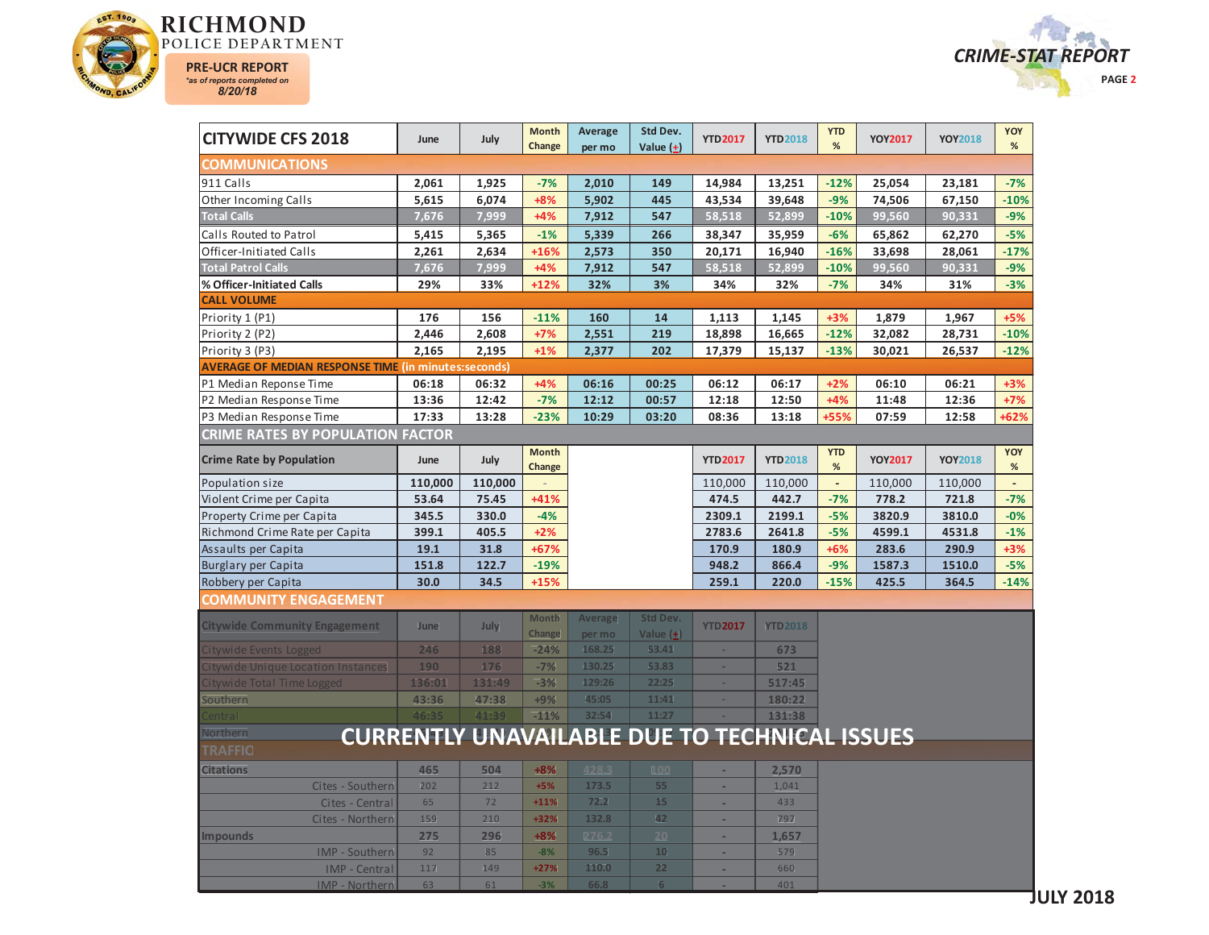



| <b>CITYWIDE CFS 2018</b>                                    | June                                                 | July    | <b>Month</b><br>Change | Average<br>per mo | Std Dev.<br>Value $(+)$ | <b>YTD2017</b> | <b>YTD2018</b> | <b>YTD</b><br>%    | <b>YOY2017</b> | <b>YOY2018</b> | YOY<br>%       |
|-------------------------------------------------------------|------------------------------------------------------|---------|------------------------|-------------------|-------------------------|----------------|----------------|--------------------|----------------|----------------|----------------|
| <b>COMMUNICATIONS</b>                                       |                                                      |         |                        |                   |                         |                |                |                    |                |                |                |
| 911 Calls                                                   | 2,061                                                | 1,925   | $-7%$                  | 2,010             | 149                     | 14,984         | 13,251         | $-12%$             | 25,054         | 23,181         | $-7%$          |
| Other Incoming Calls                                        | 5,615                                                | 6,074   | $+8%$                  | 5,902             | 445                     | 43,534         | 39,648         | $-9%$              | 74,506         | 67,150         | $-10%$         |
| <b>Total Calls</b>                                          | 7,676                                                | 7,999   | $+4%$                  | 7,912             | 547                     | 58,518         | 52,899         | $-10%$             | 99,560         | 90,331         | $-9%$          |
| Calls Routed to Patrol                                      | 5,415                                                | 5,365   | $-1%$                  | 5,339             | 266                     | 38,347         | 35,959         | $-6%$              | 65,862         | 62,270         | $-5%$          |
| Officer-Initiated Calls                                     | 2,261                                                | 2,634   | $+16%$                 | 2,573             | 350                     | 20,171         | 16,940         | $-16%$             | 33,698         | 28,061         | $-17%$         |
| <b>Total Patrol Calls</b>                                   | 7,676                                                | 7,999   | $+4%$                  | 7,912             | 547                     | 58,518         | 52,899         | $-10%$             | 99,560         | 90,331         | $-9%$          |
| % Officer-Initiated Calls                                   | 29%                                                  | 33%     | $+12%$                 | 32%               | 3%                      | 34%            | 32%            | $-7%$              | 34%            | 31%            | $-3%$          |
| <b>CALL VOLUME</b>                                          |                                                      |         |                        |                   |                         |                |                |                    |                |                |                |
| Priority 1 (P1)                                             | 176                                                  | 156     | $-11%$                 | 160               | 14                      | 1,113          | 1,145          | $+3%$              | 1,879          | 1,967          | $+5%$          |
| Priority 2 (P2)                                             | 2,446                                                | 2,608   | $+7%$                  | 2,551             | 219                     | 18,898         | 16,665         | $-12%$             | 32,082         | 28,731         | $-10%$         |
| Priority 3 (P3)                                             | 2,165                                                | 2,195   | $+1%$                  | 2,377             | 202                     | 17,379         | 15,137         | $-13%$             | 30,021         | 26,537         | $-12%$         |
| <b>AVERAGE OF MEDIAN RESPONSE TIME (in minutes:seconds)</b> |                                                      |         |                        |                   |                         |                |                |                    |                |                |                |
| P1 Median Reponse Time                                      | 06:18                                                | 06:32   | $+4%$                  | 06:16             | 00:25                   | 06:12          | 06:17          | $+2%$              | 06:10          | 06:21          | $+3%$          |
| P2 Median Response Time                                     | 13:36                                                | 12:42   | $-7%$                  | 12:12             | 00:57                   | 12:18          | 12:50          | $+4%$              | 11:48          | 12:36          | $+7%$          |
| P3 Median Response Time                                     | 17:33                                                | 13:28   | $-23%$                 | 10:29             | 03:20                   | 08:36          | 13:18          | +55%               | 07:59          | 12:58          | +62%           |
| <b>CRIME RATES BY POPULATION FACTOR</b>                     |                                                      |         |                        |                   |                         |                |                |                    |                |                |                |
| <b>Crime Rate by Population</b>                             | June                                                 | July    | <b>Month</b><br>Change |                   |                         | <b>YTD2017</b> | <b>YTD2018</b> | <b>YTD</b><br>$\%$ | <b>YOY2017</b> | <b>YOY2018</b> | YOY<br>$\%$    |
| Population size                                             | 110,000                                              | 110,000 |                        |                   |                         | 110,000        | 110,000        | $\mathbb{Z}^2$     | 110,000        | 110,000        | $\blacksquare$ |
| Violent Crime per Capita                                    | 53.64                                                | 75.45   | +41%                   |                   |                         | 474.5          | 442.7          | $-7%$              | 778.2          | 721.8          | $-7%$          |
| Property Crime per Capita                                   | 345.5                                                | 330.0   | $-4%$                  |                   |                         | 2309.1         | 2199.1         | $-5%$              | 3820.9         | 3810.0         | $-0%$          |
| Richmond Crime Rate per Capita                              | 399.1                                                | 405.5   | $+2%$                  |                   |                         | 2783.6         | 2641.8         | $-5%$              | 4599.1         | 4531.8         | $-1%$          |
| Assaults per Capita                                         | 19.1                                                 | 31.8    | +67%                   |                   |                         | 170.9          | 180.9          | $+6%$              | 283.6          | 290.9          | $+3%$          |
| <b>Burglary per Capita</b>                                  | 151.8                                                | 122.7   | $-19%$                 |                   |                         | 948.2          | 866.4          | $-9%$              | 1587.3         | 1510.0         | $-5%$          |
| Robbery per Capita                                          | 30.0                                                 | 34.5    | $+15%$                 |                   |                         | 259.1          | 220.0          | $-15%$             | 425.5          | 364.5          | $-14%$         |
| <b>COMMUNITY ENGAGEMENT</b>                                 |                                                      |         |                        |                   |                         |                |                |                    |                |                |                |
| <b>Citywide Community Engagement</b>                        | June                                                 | July    | <b>Month</b>           | Average           | <b>Std Dev.</b>         | <b>YTD2017</b> | <b>YTD2018</b> |                    |                |                |                |
|                                                             |                                                      |         | Change                 | per mo            | Value $(+)$             |                |                |                    |                |                |                |
| Citywide Events Logged                                      | 246                                                  | 188     | $-24%$                 | 168.25            | 53.41                   | ÷              | 673            |                    |                |                |                |
| Citywide Unique Location Instances                          | 190                                                  | 176     | $-7%$                  | 130.25            | 53.83                   | ÷              | 521            |                    |                |                |                |
| Citywide Total Time Logged                                  | 136:01                                               | 131:49  | $-3%$                  | 129:26            | 22:25                   | ×.             | 517:45         |                    |                |                |                |
| Southern                                                    | 43:36                                                | 47:38   | $+9%$                  | 45:05             | 11:41                   | ×.             | 180:22         |                    |                |                |                |
| `entra l                                                    | 46:35                                                | 41:39   | $-11%$                 | 32:54             | 11:27                   |                | 131:38         |                    |                |                |                |
| Northern                                                    | <b>CURRENTLY UNAVAILABLE DUE TO TECHNICAL ISSUES</b> |         |                        |                   |                         |                |                |                    |                |                |                |
| TRAFFIC                                                     |                                                      |         |                        |                   |                         |                |                |                    |                |                |                |
| <b>Citations</b>                                            | 465                                                  | 504     | $+8%$                  | <b>A28.3</b>      | 100                     | ÷              | 2,570          |                    |                |                |                |
| Cites - Southern                                            | 202                                                  | 212     | $+5%$                  | 173.5             | 55                      | ÷.             | 1,041          |                    |                |                |                |
| Cites - Central                                             | 65                                                   | 72      | $+11%$                 | 72.2              | 15                      | ÷,             | 433            |                    |                |                |                |
| Cites - Northern                                            | 159                                                  | 210     | +32%                   | 132.8             | 42                      | ٠              | 797            |                    |                |                |                |
| <b>Impounds</b>                                             | 275                                                  | 296     | $+8%$                  | 276.2             | 20                      | ÷              | 1,657          |                    |                |                |                |
| IMP - Southern                                              | 92                                                   | 85      | $-8%$                  | 96.5              | 10                      | ÷              | 579            |                    |                |                |                |
| <b>IMP</b> - Central                                        | 117                                                  | 149     | $+27%$                 | 110.0             | 22                      | $\omega$       | 660            |                    |                |                |                |
| <b>IMP - Northern</b>                                       | 63                                                   | 61      | $-3%$                  | 66.8              | $6\phantom{1}$          |                | 401            |                    |                |                |                |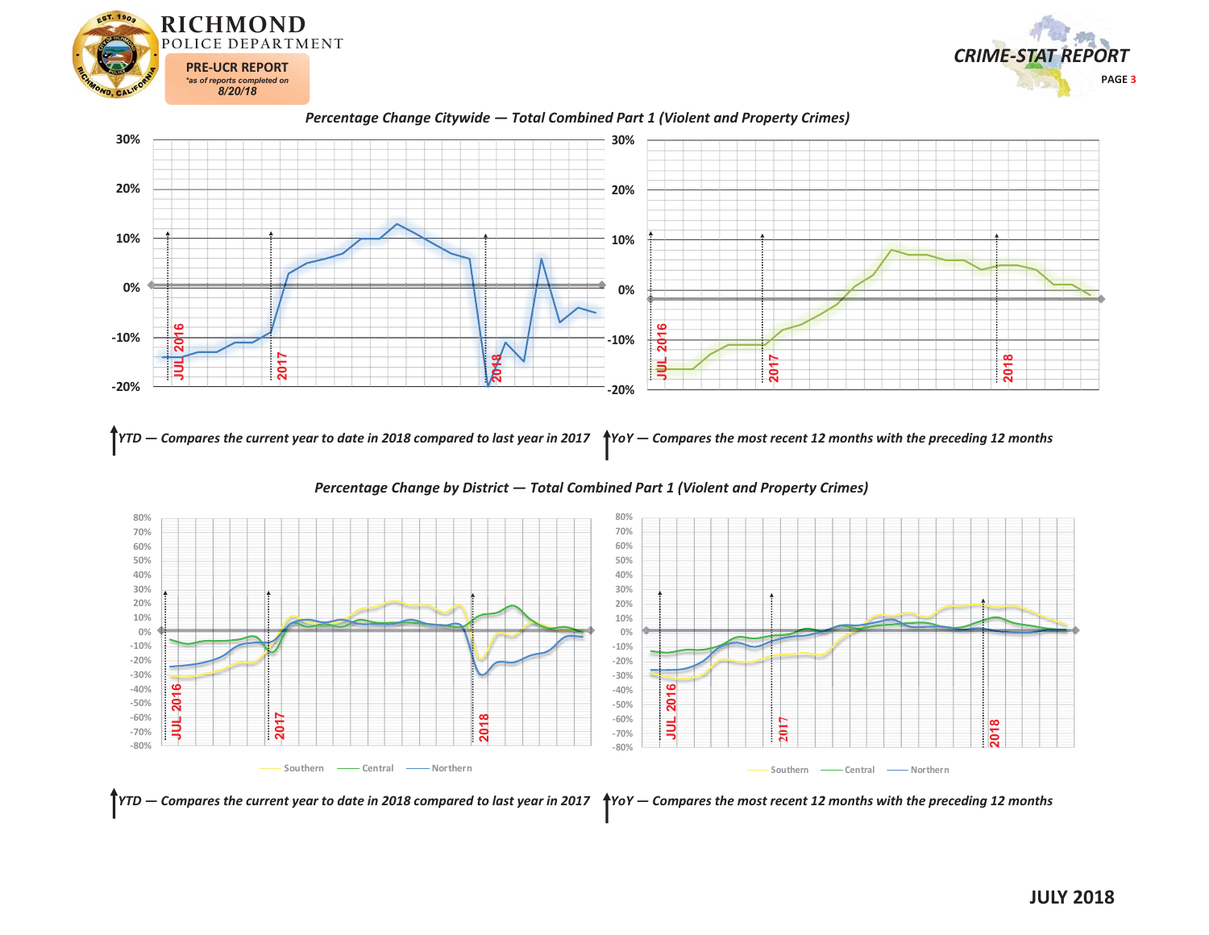







YTD — Compares the current year to date in 2018 compared to last year in 2017  $\,$  \*YoY — Compares the most recent 12 months with the preceding 12 months





*YTD — Compares the current year to date in 2018 compared to last year in 2017 YoY — Compares the most recent 12 months with the preceding 12 months*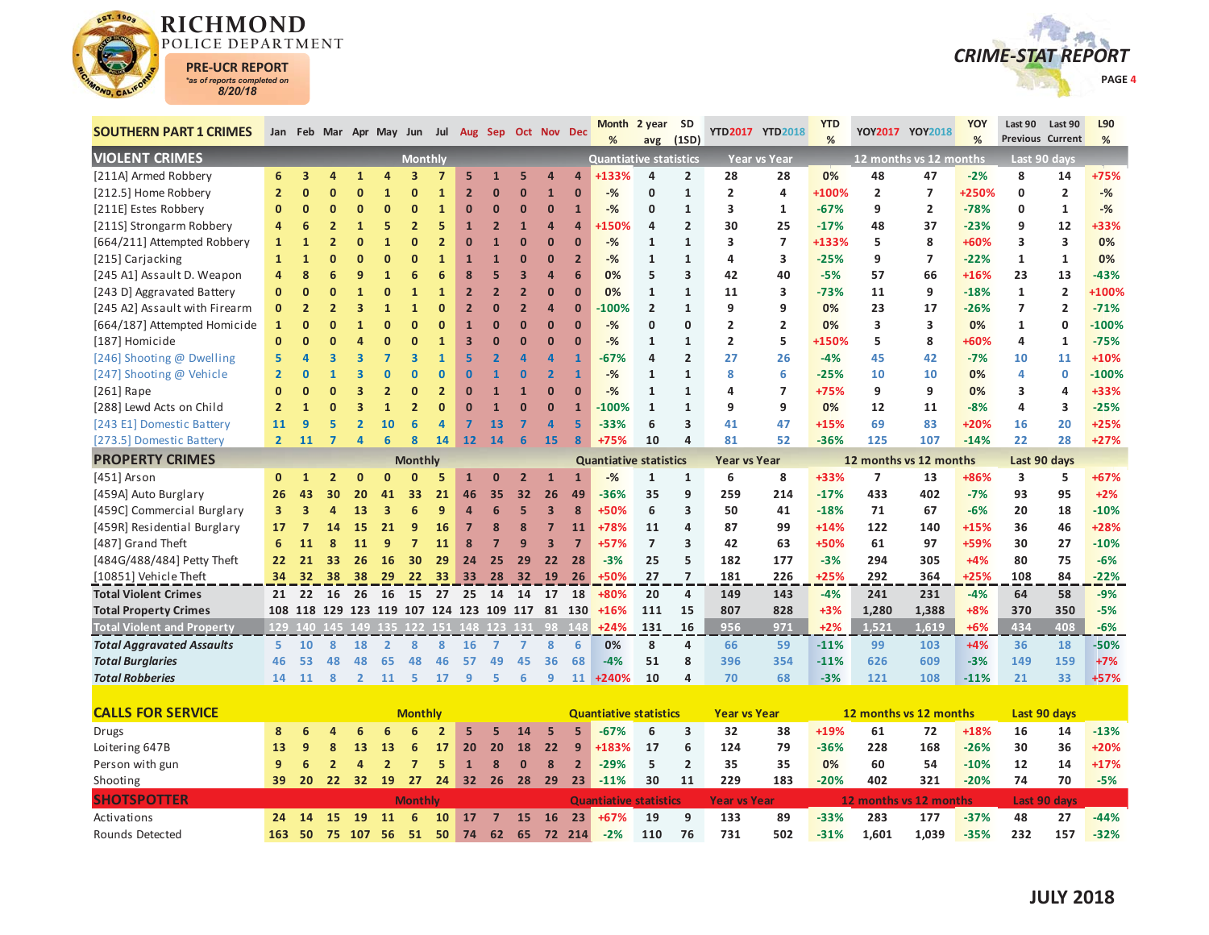

Rounds Detected



| <b>SOUTHERN PART 1 CRIMES</b>     |                 |                |                |                | Jan Feb Mar Apr May Jun Jul Aug Sep Oct Nov Dec |                         |                 |                |                |                |                      |                | <b>Month</b>                  | 2 year SD      |                         |                     | YTD2017 YTD2018     | <b>YTD</b><br>% | YOY2017 YOY2018          |                        | YOY    | Last 90<br><b>Previous Current</b> | Last 90        | L90     |
|-----------------------------------|-----------------|----------------|----------------|----------------|-------------------------------------------------|-------------------------|-----------------|----------------|----------------|----------------|----------------------|----------------|-------------------------------|----------------|-------------------------|---------------------|---------------------|-----------------|--------------------------|------------------------|--------|------------------------------------|----------------|---------|
| <b>VIOLENT CRIMES</b>             |                 |                |                |                |                                                 | <b>Monthly</b>          |                 |                |                |                |                      |                | <b>Quantiative statistics</b> | avg            | (1SD)                   |                     | <b>Year vs Year</b> |                 |                          | 12 months vs 12 months | %      |                                    | Last 90 davs   | %       |
| [211A] Armed Robbery              | 6               | 3              | 4              |                |                                                 | 3                       |                 | 5              |                | 5              |                      | Δ              | +133%                         | 4              | $\overline{2}$          | 28                  | 28                  | 0%              | 48                       | 47                     | $-2%$  | 8                                  | 14             | +75%    |
| [212.5] Home Robbery              | $\overline{2}$  | $\mathbf{0}$   | O              | $\overline{0}$ | 1                                               |                         | 1               | $\overline{2}$ | $\Omega$       | $\overline{0}$ | $\overline{1}$       | $\overline{0}$ | $-%$                          | $\mathbf{0}$   | $\mathbf 1$             | $\overline{2}$      | 4                   | +100%           | $\overline{2}$           | $\overline{7}$         | +250%  | 0                                  | $\overline{2}$ | $-%$    |
| [211E] Estes Robbery              | $\mathbf{0}$    | $\overline{0}$ | $\overline{0}$ | $\mathbf{0}$   | $\Omega$                                        | $\Omega$                | $\mathbf{1}$    | $\bf{0}$       | $\Omega$       | $\overline{0}$ | $\bf{0}$             | $\mathbf{1}$   | $-$ %                         | $\mathbf{0}$   | $\mathbf{1}$            | 3                   | $\mathbf{1}$        | $-67%$          | 9                        | $\overline{2}$         | $-78%$ | 0                                  | $\mathbf{1}$   | $-$ %   |
| [211S] Strongarm Robbery          | 4               | 6              | $\overline{2}$ | $\mathbf{1}$   | 5                                               | $\overline{2}$          | 5               | 1              | $\overline{2}$ | $\mathbf{1}$   | Δ                    | Δ              | <b>150%</b>                   | 4              | $\overline{2}$          | 30                  | 25                  | $-17%$          | 48                       | 37                     | $-23%$ | 9                                  | 12             | +33%    |
| [664/211] Attempted Robbery       | $\mathbf{1}$    | 1              | $\overline{2}$ | ŋ              |                                                 |                         |                 | $\mathbf{0}$   |                | $\overline{0}$ | $\overline{0}$       | $\overline{0}$ | $-$ %                         | 1              | $\mathbf{1}$            | 3                   | $\overline{7}$      | +133%           | 5                        | 8                      | +60%   | 3                                  | 3              | 0%      |
| [215] Carjacking                  | $\mathbf{1}$    | $\mathbf{1}$   | 0              |                | $\Omega$                                        | $\mathbf{0}$            | 1               | 1              | $\mathbf{1}$   | $\bf{0}$       | $\mathbf 0$          | $\overline{2}$ | $-%$                          | 1              | $\mathbf{1}$            | 4                   | 3                   | $-25%$          | 9                        | $\overline{7}$         | $-22%$ | 1                                  | 1              | 0%      |
| [245 A1] Assault D. Weapon        | 4               | 8              | 6              | 9              | $\mathbf{1}$                                    | 6                       | 6               | 8              | 5              | в              | $\overline{a}$       | 6              | 0%                            | 5              | $\overline{\mathbf{3}}$ | 42                  | 40                  | $-5%$           | 57                       | 66                     | $+16%$ | 23                                 | 13             | $-43%$  |
| [243 D] Aggravated Battery        | $\mathbf{0}$    | $\mathbf{0}$   | $\overline{0}$ |                | $\Omega$                                        | 1                       | 1               | $\overline{2}$ | $\overline{2}$ | $\overline{2}$ | $\bf{0}$             | $\overline{0}$ | 0%                            | $\mathbf{1}$   | $\mathbf{1}$            | 11                  | 3                   | $-73%$          | 11                       | 9                      | $-18%$ | $\mathbf{1}$                       | $\overline{2}$ | +100%   |
| [245 A2] Assault with Firearm     | $\mathbf{0}$    | $\overline{2}$ | $\overline{2}$ | 3              |                                                 |                         |                 | $\overline{2}$ | $\Omega$       | $\overline{2}$ | 4                    | $\overline{0}$ | $-100%$                       | $\overline{2}$ | $\mathbf{1}$            | 9                   | 9                   | 0%              | 23                       | 17                     | $-26%$ | $\overline{7}$                     | $\overline{2}$ | $-71%$  |
| [664/187] Attempted Homicide      | $\mathbf{1}$    | $\bf{0}$       | 0              |                | $\Omega$                                        |                         | $\Omega$        | $\mathbf{1}$   | $\mathbf{0}$   | $\overline{0}$ | $\overline{0}$       | $\overline{0}$ | $-%$                          | 0              | $\mathbf 0$             | $\overline{2}$      | $\overline{2}$      | 0%              | 3                        | 3                      | 0%     | 1                                  | $\mathbf 0$    | $-100%$ |
| [187] Homicide                    | $\mathbf{0}$    | $\Omega$       | ŋ              | Δ              | O                                               |                         | $\mathbf{1}$    | 3              | $\Omega$       | $\Omega$       | $\overline{0}$       | $\overline{0}$ | $-$ %                         | $\mathbf{1}$   | $\mathbf{1}$            | $\overline{2}$      | 5                   | +150%           | 5                        | 8                      | +60%   | 4                                  | $\mathbf{1}$   | $-75%$  |
| [246] Shooting @ Dwelling         | 5               |                | 3              | 3              | 7                                               | $\overline{\mathbf{3}}$ | 1               | 5              |                |                | Δ                    | $\mathbf{1}$   | $-67%$                        | 4              | $\overline{2}$          | 27                  | 26                  | $-4%$           | 45                       | 42                     | $-7%$  | 10                                 | 11             | $+10%$  |
| [247] Shooting @ Vehicle          | $\overline{2}$  | ŋ              |                | 3              | $\overline{0}$                                  | $\Omega$                | $\overline{0}$  | $\Omega$       | $\mathbf{1}$   | $\bf{0}$       | $\overline{2}$       | $\mathbf{1}$   | $-$ %                         | 1              | $\mathbf{1}$            | 8                   | 6                   | $-25%$          | 10                       | 10                     | 0%     | Δ                                  | $\mathbf{0}$   | $-100%$ |
| $[261]$ Rape                      | $\mathbf{0}$    | 0              | $\overline{0}$ | 3              | $\overline{2}$                                  | $\Omega$                | $\overline{2}$  | $\Omega$       | $\mathbf{1}$   | $\mathbf{1}$   | $\Omega$             | $\overline{0}$ | $-$ %                         | $\mathbf{1}$   | $\mathbf{1}$            | 4                   | $\overline{ }$      | +75%            | 9                        | 9                      | 0%     | 3                                  | 4              | +33%    |
| [288] Lewd Acts on Child          | $\overline{2}$  | 1              | ŋ              | 3              | $\mathbf{1}$                                    | $\overline{2}$          | $\Omega$        | 0              | $\overline{1}$ | $\mathbf 0$    | $\mathbf{0}$         | $\mathbf{1}$   | $-100%$                       | $\mathbf{1}$   | $\mathbf{1}$            | 9                   | 9                   | 0%              | 12                       | 11                     | $-8%$  | 4                                  | 3              | $-25%$  |
| [243 E1] Domestic Battery         | 11              | 9              | 5              | $\overline{2}$ | 10                                              | 6                       | $\overline{a}$  | 7              | 13             |                | $\overline{a}$       | 5              | $-33%$                        | 6              | $\overline{\mathbf{3}}$ | 41                  | 47                  | $+15%$          | 69                       | 83                     | +20%   | 16                                 | 20             | $+25%$  |
| [273.5] Domestic Battery          | $\overline{2}$  | 11             | 7              | Δ              | 6                                               | 8                       | 14              | 12             | 14             | 6              | 15                   | 8              | +75%                          | 10             | $\overline{a}$          | 81                  | 52                  | $-36%$          | 125                      | 107                    | $-14%$ | 22                                 | 28             | $+27%$  |
| <b>PROPERTY CRIMES</b>            |                 |                |                |                |                                                 |                         |                 |                |                |                |                      |                |                               |                |                         |                     |                     |                 |                          |                        |        |                                    |                |         |
|                                   |                 |                |                |                |                                                 | <b>Monthly</b>          |                 |                |                |                |                      |                | <b>Quantiative statistics</b> |                |                         | Year vs Year        |                     |                 | 12 months vs 12 months   |                        |        | Last 90 days                       |                |         |
| [451] Arson                       | $\mathbf{0}$    | $\mathbf{1}$   | $\overline{2}$ |                |                                                 |                         |                 |                | $\mathbf{0}$   | $\overline{2}$ | $\mathbf{1}$         | $\mathbf{1}$   | $-$ %                         | $\mathbf{1}$   | $\mathbf{1}$            | 6                   | 8                   | +33%            | $\overline{\phantom{a}}$ | 13                     | +86%   | 3                                  | 5              | +67%    |
| [459A] Auto Burglary              | 26              | 43             | 30             | 20             | 41                                              | 33                      | 21              | 46             | 35             | 32<br>5        | 26<br>$\overline{3}$ | 49             | $-36%$                        | 35             | 9                       | 259                 | 214                 | $-17%$          | 433                      | 402                    | $-7%$  | 93                                 | 95             | $+2%$   |
| [459C] Commercial Burglary        | 3               | 3              | 4              | 13             | 3                                               | 6                       | 9               | $\overline{a}$ | 6              |                |                      | 8              | +50%                          | 6              | $\overline{\mathbf{3}}$ | 50                  | 41                  | $-18%$          | 71                       | 67                     | $-6%$  | 20                                 | 18             | $-10%$  |
| [459R] Residential Burglary       | 17              | $\overline{7}$ | 14             | 15             | 21                                              | 9                       | 16              | $\overline{7}$ | 8              | 8              | $\overline{7}$       | 11             | +78%                          | 11             | $\overline{\mathbf{a}}$ | 87                  | 99                  | $+14%$          | 122                      | 140                    | $+15%$ | 36                                 | 46             | +28%    |
| [487] Grand Theft                 | 6               | 11             | 8              | 11             | 9                                               | $\overline{7}$          | 11              | 8              | 7              | 9              | З                    | $\overline{7}$ | +57%                          | $\overline{7}$ | 3                       | 42                  | 63                  | +50%            | 61                       | 97                     | +59%   | 30                                 | 27             | $-10%$  |
| [484G/488/484] Petty Theft        | 22              | 21             | 33             | 26             | 16                                              | 30                      | 29              | 24             | 25             | 29             | 22                   | 28             | $-3%$                         | 25             | 5                       | 182                 | 177                 | $-3%$           | 294                      | 305                    | $+4%$  | 80                                 | 75             | $-6%$   |
| [10851] Vehicle Theft             | 34              | 32             | 38             | 38             | 29                                              | 22                      | 33 <sup>°</sup> | 33             | 28             | 32             | <b>19</b>            | 26             | +50%                          | 27             | $\overline{7}$          | 181                 | 226                 | $+25%$          | 292                      | 364                    | $+25%$ | 108                                | 84             | $-22%$  |
| <b>Total Violent Crimes</b>       | 21              | 22             | 16             | 26             | 16                                              | 15                      |                 | 27 25          | 14             | 14             | 17                   | 18             | +80%                          | 20             | $\overline{4}$          | 149                 | 143                 | $-4%$           | 241                      | 231                    | $-4%$  | 64                                 | 58             | $-9%$   |
| <b>Total Property Crimes</b>      |                 |                |                |                | 108 118 129 123 119 107 124 123 109 117 81 130  |                         |                 |                |                |                |                      |                | $+16%$                        | 111            | 15                      | 807                 | 828                 | $+3%$           | 1,280<br>1.521           | 1,388                  | $+8%$  | 370<br>434                         | 350            | $-5%$   |
| <b>Total Violent and Property</b> |                 |                |                |                | 129 140 145 149 135 122 151 148 123 131 98 148  |                         |                 |                |                |                |                      |                | $+24%$                        | 131            | 16                      | 956                 | 971                 | $+2%$           |                          | 1,619                  | $+6%$  |                                    | 408            | $-6%$   |
| <b>Total Aggravated Assaults</b>  | 5.              | 10             | 8              | 18             | $\overline{2}$                                  | 8                       | 8               | 16             | 7              |                | 8                    | 6              | 0%                            | 8              | 4                       | 66                  | 59                  | $-11%$          | 99                       | 103                    | $+4%$  | 36                                 | 18             | $-50%$  |
| <b>Total Burglaries</b>           | 46              | 53             | 48             | 48             | 65                                              | 48                      | 46              | 57             | 49             | 45             | 36                   | 68             | $-4%$                         | 51             | 8                       | 396                 | 354                 | $-11%$          | 626                      | 609                    | $-3%$  | 149                                | 159            | $+7%$   |
| <b>Total Robberies</b>            | 14              | 11             | 8              | $\mathbf{2}$   | 11                                              | -5                      | 17              | 9              | 5              | 6              | 9                    |                | 11 +240%                      | 10             | 4                       | 70                  | 68                  | $-3%$           | 121                      | 108                    | $-11%$ | 21                                 | 33             | +57%    |
| <b>CALLS FOR SERVICE</b>          |                 |                |                |                |                                                 | <b>Monthly</b>          |                 |                |                |                |                      |                | <b>Quantiative statistics</b> |                |                         | <b>Year vs Year</b> |                     |                 | 12 months vs 12 months   |                        |        |                                    | Last 90 days   |         |
| <b>Drugs</b>                      | 8               | 6              |                | 6              |                                                 |                         |                 | 5              | 5              | 14             | 5                    | 5              | $-67%$                        | 6              | 3                       | 32                  | 38                  | +19%            | 61                       | 72                     | +18%   | 16                                 | 14             | $-13%$  |
| Loitering 647B                    | 13              | 9              | 8              | 13             | 13                                              | 6                       | 17              | 20             | 20             | 18             | 22                   | 9              | +183%                         | 17             | 6                       | 124                 | 79                  | $-36%$          | 228                      | 168                    | $-26%$ | 30                                 | 36             | +20%    |
| Person with gun                   | 9               | 6              | $\overline{2}$ | 4              | $\overline{2}$                                  | $\overline{7}$          | 5               | $\mathbf{1}$   | 8              | $\bf{0}$       | 8                    | $\overline{2}$ | $-29%$                        | 5              | $\overline{2}$          | 35                  | 35                  | 0%              | 60                       | 54                     | $-10%$ | 12                                 | 14             | $+17%$  |
| Shooting                          | 39              | 20             | 22             | 32             | 19                                              | 27                      | 24              |                |                | 32 26 28 29    |                      | 23             | $-11%$                        | 30             | 11                      | 229                 | 183                 | $-20%$          | 402                      | 321                    | $-20%$ | 74                                 | 70             | $-5%$   |
|                                   |                 |                |                |                |                                                 |                         |                 |                |                |                |                      |                |                               |                |                         |                     |                     |                 |                          |                        |        |                                    |                |         |
| <b>SHOTSPOTTER</b>                |                 |                |                |                |                                                 | <b>Monthly</b>          |                 |                |                |                |                      |                | <b>Quantiative statistics</b> |                |                         | <b>Year vs Year</b> |                     |                 | 12 months vs 12 months   |                        |        |                                    | Last 90 days   |         |
| Activations                       | 24 <sup>2</sup> |                | 14 15          |                | 19 11                                           | 6                       | 10              | 17             | $\overline{7}$ |                | 15 16                | 23             | $+67%$                        | 19             | 9                       | 133                 | 89                  | $-33%$          | 283                      | 177                    | $-37%$ | 48                                 | 27             | $-44%$  |

**163 50 75 107 56 51 50 74 62 65 72 214 -2%**

**110 76 731 502 -31% 1,601 1,039 -35% 232 157 -32%**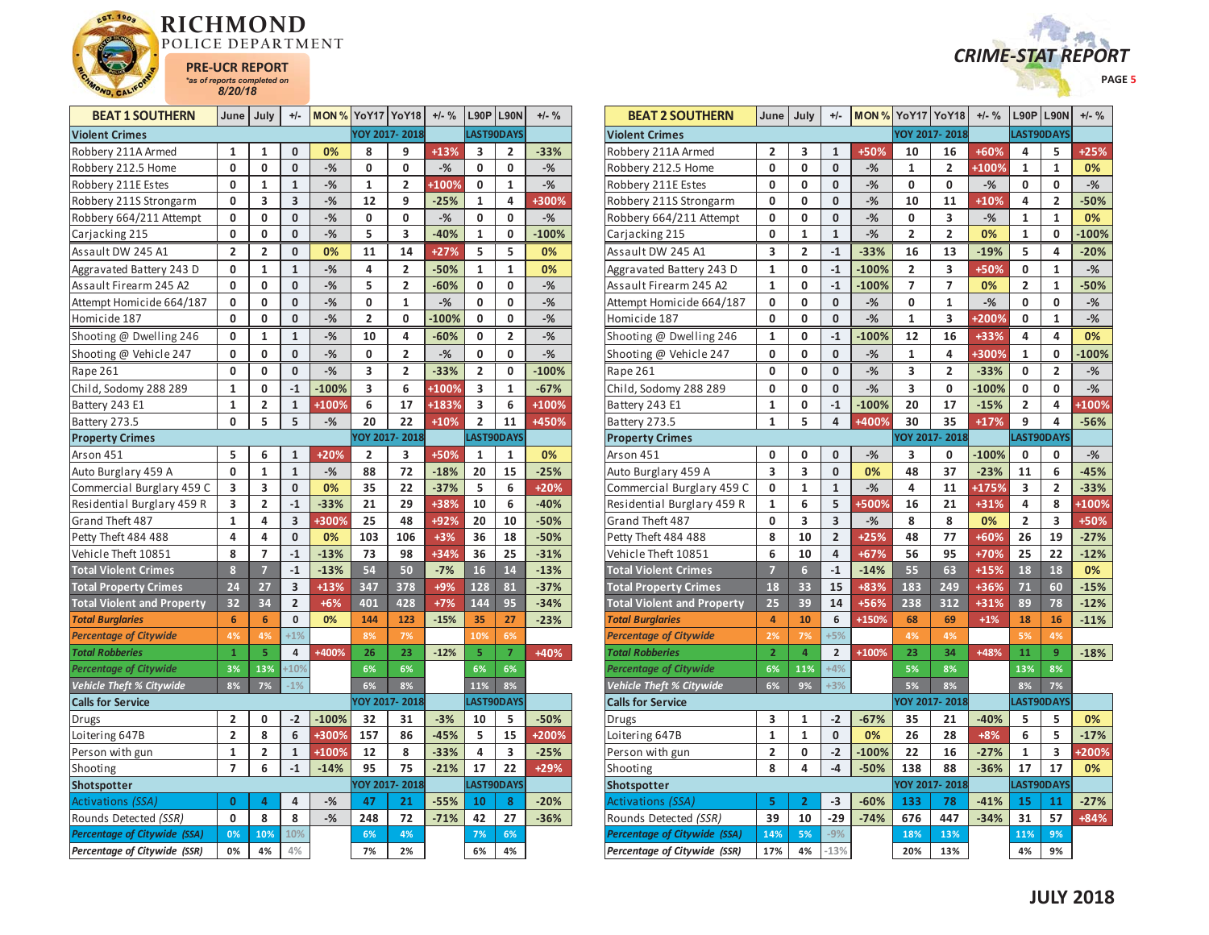



| <b>BEAT 1 SOUTHERN</b>            | June            | July           | $+/-$                   | <b>MON % YoY17 YoY18</b> |                |                | $+/-$ % |                         | L90P   L90N    | $+/-$ % |
|-----------------------------------|-----------------|----------------|-------------------------|--------------------------|----------------|----------------|---------|-------------------------|----------------|---------|
| <b>Violent Crimes</b>             |                 |                |                         |                          |                | YOY 2017-2018  |         |                         | LAST90DAYS     |         |
| Robbery 211A Armed                | 1               | 1              | 0                       | 0%                       | 8              | 9              | $+13%$  | 3                       | 2              | $-33%$  |
| Robbery 212.5 Home                | 0               | 0              | 0                       | $-$ %                    | 0              | 0              | $-%$    | 0                       | 0              | $-%$    |
| Robbery 211E Estes                | 0               | 1              | $\mathbf{1}$            | $-$ %                    | $\mathbf{1}$   | 2              | +100%   | 0                       | 1              | $-$ %   |
| Robbery 211S Strongarm            | 0               | 3              | 3                       | $-%$                     | 12             | 9              | $-25%$  | $\mathbf{1}$            | 4              | +300%   |
| Robbery 664/211 Attempt           | 0               | 0              | 0                       | $-$ %                    | 0              | 0              | $-%$    | 0                       | 0              | $-%$    |
| Carjacking 215                    | 0               | 0              | 0                       | $-%$                     | 5              | 3              | $-40%$  | $\mathbf{1}$            | 0              | $-100%$ |
| Assault DW 245 A1                 | 2               | $\overline{2}$ | 0                       | 0%                       | 11             | 14             | $+27%$  | 5                       | 5              | 0%      |
| Aggravated Battery 243 D          | 0               | $\mathbf{1}$   | $\mathbf{1}$            | $-%$                     | 4              | 2              | $-50%$  | 1                       | 1              | 0%      |
| Assault Firearm 245 A2            | 0               | 0              | 0                       | $-$ %                    | 5              | $\overline{2}$ | $-60%$  | 0                       | 0              | $-%$    |
| Attempt Homicide 664/187          | 0               | 0              | $\mathbf{0}$            | $-%$                     | 0              | 1              | $-%$    | 0                       | 0              | $-$ %   |
| Homicide 187                      | 0               | 0              | 0                       | $-%$                     | $\overline{2}$ | 0              | $-100%$ | 0                       | 0              | $-$ %   |
| Shooting @ Dwelling 246           | 0               | 1              | $\mathbf{1}$            | $-$ %                    | 10             | 4              | $-60%$  | 0                       | 2              | $-$ %   |
| Shooting @ Vehicle 247            | 0               | 0              | 0                       | $-%$                     | 0              | 2              | $-$ %   | 0                       | 0              | $-$ %   |
| Rape 261                          | 0               | 0              | 0                       | $-$ %                    | 3              | 2              | $-33%$  | 2                       | 0              | $-100%$ |
| Child, Sodomy 288 289             | 1               | 0              | $-1$                    | $-100%$                  | 3              | 6              | +100%   | 3                       | 1              | $-67%$  |
| Battery 243 E1                    | $\mathbf{1}$    | $\overline{2}$ | $\mathbf{1}$            | +100%                    | 6              | 17             | +183%   | 3                       | 6              | +100%   |
| Battery 273.5                     | 0               | 5              | 5                       | $-%$                     | 20             | 22             | $+10%$  | $\overline{\mathbf{c}}$ | 11             | +450%   |
| <b>Property Crimes</b>            |                 |                |                         |                          |                | YOY 2017-2018  |         |                         | LAST90DAYS     |         |
| Arson 451                         | 5               | 6              | 1                       | $+20%$                   | 2              | 3              | +50%    | 1                       | 1              | 0%      |
| Auto Burglary 459 A               | 0               | 1              | 1                       | $-$ %                    | 88             | 72             | $-18%$  | 20                      | 15             | $-25%$  |
| Commercial Burglary 459 C         | 3               | 3              | 0                       | 0%                       | 35             | 22             | $-37%$  | 5                       | 6              | +20%    |
| Residential Burglary 459 R        | 3               | $\overline{2}$ | $-1$                    | $-33%$                   | 21             | 29             | +38%    | 10                      | 6              | $-40%$  |
| Grand Theft 487                   | 1               | 4              | 3                       | +300%                    | 25             | 48             | +92%    | 20                      | 10             | $-50%$  |
| Petty Theft 484 488               | 4               | 4              | $\mathbf{0}$            | 0%                       | 103            | 106            | $+3%$   | 36                      | 18             | $-50%$  |
| Vehicle Theft 10851               | 8               | 7              | $-1$                    | $-13%$                   | 73             | 98             | $+34%$  | 36                      | 25             | $-31%$  |
| <b>Total Violent Crimes</b>       | 8               | $\overline{7}$ | $-1$                    | $-13%$                   | 54             | 50             | $-7%$   | 16                      | 14             | $-13%$  |
| <b>Total Property Crimes</b>      | 24              | 27             | 3                       | $+13%$                   | 347            | 378            | $+9%$   | 128                     | 81             | $-37%$  |
| <b>Total Violent and Property</b> | 32              | 34             | $\overline{\mathbf{c}}$ | $+6%$                    | 401            | 428            | $+7%$   | 144                     | 95             | $-34%$  |
| <b>Total Burglaries</b>           | $6\phantom{1}6$ | 6              | 0                       | 0%                       | 144            | 123            | $-15%$  | 35                      | 27             | $-23%$  |
| <b>Percentage of Citywide</b>     | 4%              | 4%             | $+1%$                   |                          | 8%             | 7%             |         | 10%                     | 6%             |         |
| <b>Total Robberies</b>            | $\mathbf{1}$    | 5              | $\overline{\mathbf{4}}$ | +400%                    | 26             | 23             | $-12%$  | 5                       | $\overline{7}$ | +40%    |
| <b>Percentage of Citywide</b>     | 3%              | 13%            | $+10%$                  |                          | 6%             | 6%             |         | 6%                      | 6%             |         |
| Vehicle Theft % Citywide          | 8%              | 7%             | $-1%$                   |                          | 6%             | 8%             |         | 11%                     | 8%             |         |
| <b>Calls for Service</b>          |                 |                |                         |                          |                | YOY 2017-2018  |         |                         | LAST90DAYS     |         |
| Drugs                             | 2               | 0              | $-2$                    | $-100%$                  | 32             | 31             | $-3%$   | 10                      | 5              | $-50%$  |
| Loitering 647B                    | $\overline{2}$  | 8              | 6                       | +300%                    | 157            | 86             | $-45%$  | 5                       | 15             | +200%   |
| Person with gun                   | 1               | 2              | 1                       | +100%                    | 12             | 8              | $-33%$  | 4                       | 3              | $-25%$  |
| Shooting                          | 7               | 6              | $-1$                    | $-14%$                   | 95             | 75             | $-21%$  | 17                      | 22             | +29%    |
| Shotspotter                       |                 |                |                         |                          |                | YOY 2017-2018  |         |                         | LAST90DAYS     |         |
| <b>Activations (SSA)</b>          | 0               | 4              | 4                       | $-$ %                    | 47             | 21             | $-55%$  | 10                      | 8              | $-20%$  |
| Rounds Detected (SSR)             | 0               | 8              | 8                       | $-$ %                    | 248            | 72             | $-71%$  | 42                      | 27             | $-36%$  |
| Percentage of Citywide (SSA)      | 0%              | 10%            | 10%                     |                          | 6%             | 4%             |         | 7%                      | 6%             |         |
| Percentage of Citywide (SSR)      | 0%              | 4%             | 4%                      |                          | 7%             | 2%             |         | 6%                      | 4%             |         |

| <b>BEAT 2 SOUTHERN</b>              | June                    | July            | $+/-$          |         | <b>MON % YoY17 YoY18</b> |                         | $+/-$ % |                | L90P L90N  | $+/-$ % |
|-------------------------------------|-------------------------|-----------------|----------------|---------|--------------------------|-------------------------|---------|----------------|------------|---------|
| <b>Violent Crimes</b>               |                         |                 |                |         |                          | YOY 2017-2018           |         |                | LAST90DAYS |         |
| Robbery 211A Armed                  | 2                       | 3               | 1              | +50%    | 10                       | 16                      | +60%    | 4              | 5          | $+25%$  |
| Robbery 212.5 Home                  | 0                       | 0               | 0              | $-%$    | 1                        | 2                       | +100%   | 1              | 1          | 0%      |
| Robbery 211E Estes                  | 0                       | 0               | 0              | $-%$    | 0                        | 0                       | $-%$    | 0              | 0          | $-$ %   |
| Robbery 211S Strongarm              | 0                       | 0               | 0              | $-$ %   | 10                       | 11                      | $+10%$  | 4              | 2          | $-50%$  |
| Robbery 664/211 Attempt             | 0                       | 0               | 0              | $-%$    | 0                        | 3                       | $-%$    | 1              | 1          | 0%      |
| Carjacking 215                      | 0                       | $\mathbf{1}$    | $\mathbf{1}$   | $-$ %   | $\overline{\mathbf{c}}$  | $\overline{\mathbf{c}}$ | 0%      | $\mathbf{1}$   | 0          | $-100%$ |
| Assault DW 245 A1                   | 3                       | 2               | $-1$           | $-33%$  | 16                       | 13                      | $-19%$  | 5              | 4          | $-20%$  |
| Aggravated Battery 243 D            | $\mathbf{1}$            | 0               | $-1$           | $-100%$ | $\overline{2}$           | 3                       | +50%    | 0              | 1          | $-$ %   |
| Assault Firearm 245 A2              | $\mathbf{1}$            | 0               | $-1$           | $-100%$ | 7                        | 7                       | 0%      | $\overline{2}$ | 1          | $-50%$  |
| Attempt Homicide 664/187            | 0                       | 0               | 0              | $-%$    | 0                        | 1                       | $-$ %   | 0              | 0          | $-$ %   |
| Homicide 187                        | 0                       | 0               | 0              | $-%$    | 1                        | 3                       | +200%   | 0              | 1          | $-$ %   |
| Shooting @ Dwelling 246             | 1                       | 0               | $-1$           | $-100%$ | 12                       | 16                      | +33%    | 4              | 4          | 0%      |
| Shooting @ Vehicle 247              | 0                       | 0               | 0              | $-%$    | 1                        | 4                       | +300%   | $\mathbf{1}$   | 0          | $-100%$ |
| Rape 261                            | 0                       | 0               | 0              | $-%$    | 3                        | 2                       | $-33%$  | 0              | 2          | $-%$    |
| Child, Sodomy 288 289               | 0                       | 0               | 0              | $-%$    | 3                        | 0                       | $-100%$ | 0              | 0          | $-%$    |
| Battery 243 E1                      | 1                       | 0               | $-1$           | $-100%$ | 20                       | 17                      | $-15%$  | 2              | 4          | +100%   |
| Battery 273.5                       | $\mathbf{1}$            | 5               | 4              | +400%   | 30                       | 35                      | $+17%$  | 9              | 4          | $-56%$  |
| <b>Property Crimes</b>              |                         |                 |                |         |                          | YOY 2017-2018           |         |                | LAST90DAYS |         |
| Arson 451                           | 0                       | 0               | 0              | $-%$    | 3                        | 0                       | $-100%$ | 0              | 0          | $-$ %   |
| Auto Burglary 459 A                 | 3                       | 3               | 0              | 0%      | 48                       | 37                      | $-23%$  | 11             | 6          | $-45%$  |
| Commercial Burglary 459 C           | 0                       | $\mathbf{1}$    | $\mathbf{1}$   | $-%$    | 4                        | 11                      | +175%   | 3              | 2          | $-33%$  |
| Residential Burglary 459 R          | $\mathbf{1}$            | 6               | 5              | +500%   | 16                       | 21                      | +31%    | 4              | 8          | +100%   |
| Grand Theft 487                     | 0                       | 3               | 3              | $-%$    | 8                        | 8                       | 0%      | 2              | 3          | +50%    |
| Petty Theft 484 488                 | 8                       | 10              | $\overline{2}$ | $+25%$  | 48                       | 77                      | $+60%$  | 26             | 19         | $-27%$  |
| Vehicle Theft 10851                 | 6                       | 10              | 4              | $+67%$  | 56                       | 95                      | +70%    | 25             | 22         | $-12%$  |
| <b>Total Violent Crimes</b>         | $\overline{7}$          | $6\overline{6}$ | $-1$           | $-14%$  | 55                       | 63                      | $+15%$  | 18             | 18         | 0%      |
| <b>Total Property Crimes</b>        | 18                      | 33              | 15             | +83%    | 183                      | 249                     | +36%    | 71             | 60         | $-15%$  |
| <b>Total Violent and Property</b>   | 25                      | 39              | 14             | +56%    | 238                      | 312                     | $+31%$  | 89             | 78         | $-12%$  |
| <b>Total Burglaries</b>             | 4                       | 10              | 6              | +150%   | 68                       | 69                      | $+1%$   | 18             | 16         | $-11%$  |
| <b>Percentage of Citywide</b>       | 2%                      | 7%              | $+5%$          |         | 4%                       | 4%                      |         | 5%             | 4%         |         |
| <b>Total Robberies</b>              | $\overline{\mathbf{2}}$ | $\overline{4}$  | $\overline{2}$ | +100%   | 23                       | 34                      | +48%    | 11             | 9          | $-18%$  |
| <b>Percentage of Citywide</b>       | 6%                      | 11%             | $+4%$          |         | 5%                       | 8%                      |         | 13%            | 8%         |         |
| Vehicle Theft % Citywide            | 6%                      | 9%              | $+3%$          |         | 5%                       | 8%                      |         | 8%             | 7%         |         |
| <b>Calls for Service</b>            |                         |                 |                |         |                          | YOY 2017-2018           |         |                | LAST90DAYS |         |
| Drugs                               | 3                       | 1               | $-2$           | $-67%$  | 35                       | 21                      | $-40%$  | 5              | 5          | 0%      |
| Loitering 647B                      | $\mathbf{1}$            | $\mathbf{1}$    | 0              | 0%      | 26                       | 28                      | $+8%$   | 6              | 5          | $-17%$  |
| Person with gun                     | 2                       | 0               | $-2$           | $-100%$ | 22                       | 16                      | $-27%$  | 1              | 3          | +200%   |
| Shooting                            | 8                       | 4               | $-4$           | $-50%$  | 138                      | 88                      | $-36%$  | 17             | 17         | 0%      |
| Shotspotter                         |                         |                 |                |         |                          | YOY 2017-2018           |         |                | LAST90DAYS |         |
| <b>Activations (SSA)</b>            | 5                       | $\overline{2}$  | $-3$           | $-60%$  | 133                      | 78                      | $-41%$  | 15             | 11         | $-27%$  |
| Rounds Detected (SSR)               | 39                      | 10              | $-29$          | $-74%$  | 676                      | 447                     | $-34%$  | 31             | 57         | +84%    |
| <b>Percentage of Citywide (SSA)</b> | 14%                     | 5%              | $-9%$          |         | 18%                      | 13%                     |         | 11%            | 9%         |         |
| Percentage of Citywide (SSR)        | 17%                     | 4%              | $-13%$         |         | 20%                      | 13%                     |         | 4%             | 9%         |         |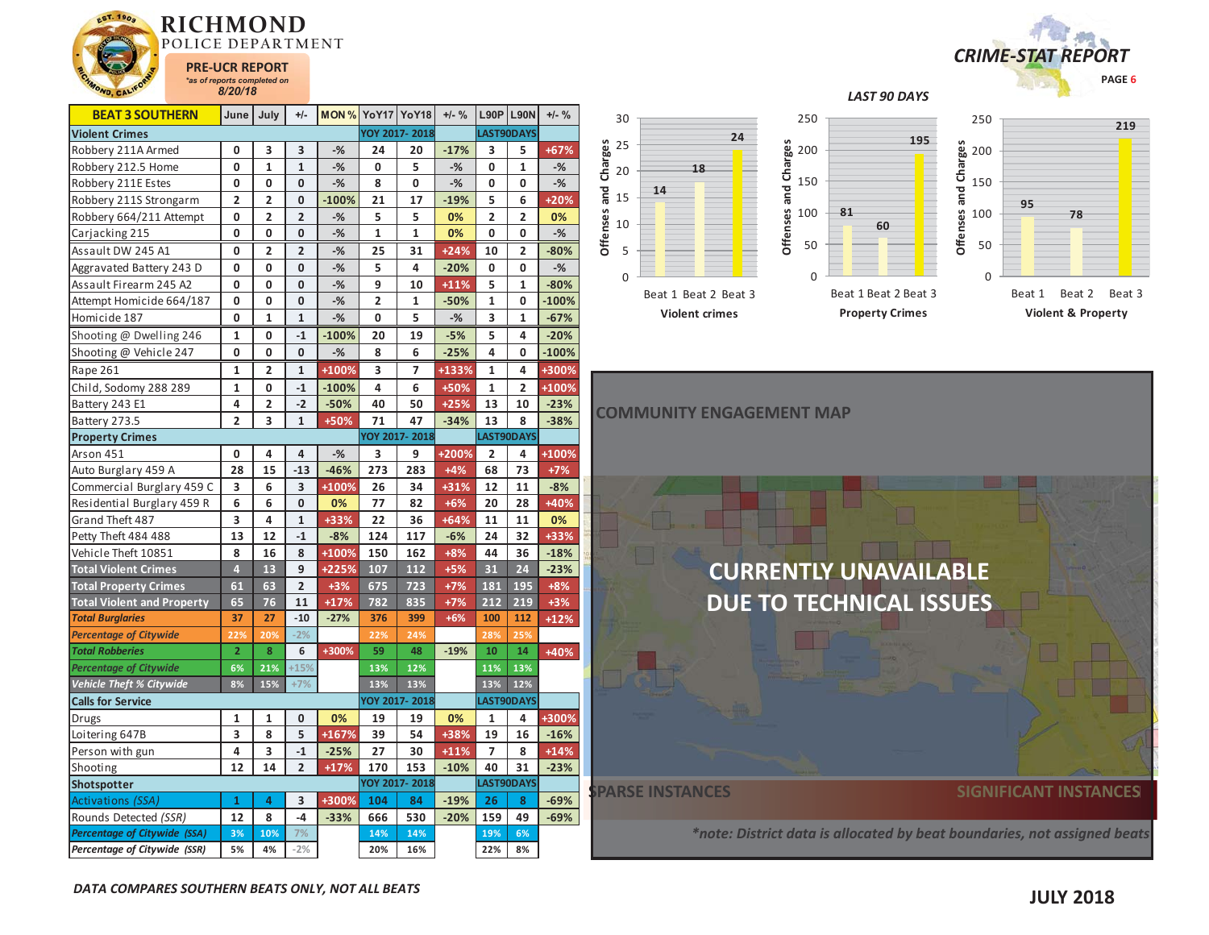

| <b>BEAT 3 SOUTHERN</b>            | June                    | July                    | $+/-$          | <b>MON % YoY17 YoY18</b> |                |               | $+/-$ % | <b>L90P L90N</b> |                | $+/-$ % | 30               |        |
|-----------------------------------|-------------------------|-------------------------|----------------|--------------------------|----------------|---------------|---------|------------------|----------------|---------|------------------|--------|
| <b>Violent Crimes</b>             |                         |                         |                |                          |                | YOY 2017-2018 |         |                  | LAST90DAYS     |         |                  |        |
| Robbery 211A Armed                | 0                       | 3                       | 3              | $-$ %                    | 24             | 20            | $-17%$  | 3                | 5              | $+67%$  | Charges<br>25    |        |
| Robbery 212.5 Home                | 0                       | $\mathbf{1}$            | $\mathbf{1}$   | $-%$                     | 0              | 5             | $-%$    | 0                | $\mathbf{1}$   | $-%$    | 20               |        |
| Robbery 211E Estes                | 0                       | 0                       | 0              | $-%$                     | 8              | 0             | $-%$    | 0                | 0              | $-$ %   |                  | 14     |
| Robbery 211S Strongarm            | $\overline{\mathbf{2}}$ | 2                       | 0              | $-100%$                  | 21             | 17            | $-19%$  | 5                | 6              | +20%    | and<br>15        |        |
| Robbery 664/211 Attempt           | 0                       | $\overline{\mathbf{c}}$ | $\overline{2}$ | $-%$                     | 5              | 5             | 0%      | $\overline{2}$   | $\overline{2}$ | 0%      | Offenses<br>10   |        |
| Carjacking 215                    | 0                       | 0                       | 0              | $-%$                     | $\mathbf{1}$   | 1             | 0%      | 0                | 0              | $-$ %   |                  |        |
| Assault DW 245 A1                 | 0                       | $\overline{2}$          | $\overline{2}$ | $-$ %                    | 25             | 31            | $+24%$  | 10               | $\overline{2}$ | $-80%$  | 5                |        |
| Aggravated Battery 243 D          | 0                       | 0                       | $\mathbf 0$    | $-\frac{9}{6}$           | 5              | 4             | $-20%$  | 0                | 0              | $-$ %   |                  |        |
| Assault Firearm 245 A2            | 0                       | 0                       | $\mathbf{0}$   | $-$ %                    | 9              | 10            | $+11%$  | 5                | 1              | $-80%$  | $\boldsymbol{0}$ |        |
| Attempt Homicide 664/187          | 0                       | 0                       | 0              | $-%$                     | $\overline{2}$ | 1             | $-50%$  | 1                | 0              | $-100%$ |                  | Beat 1 |
| Homicide 187                      | 0                       | $\mathbf{1}$            | $\mathbf{1}$   | $-$ %                    | 0              | 5             | $-%$    | 3                | $\mathbf{1}$   | $-67%$  |                  | Vio    |
| Shooting @ Dwelling 246           | 1                       | 0                       | $-1$           | $-100%$                  | 20             | 19            | $-5%$   | 5                | 4              | $-20%$  |                  |        |
| Shooting @ Vehicle 247            | $\mathbf 0$             | 0                       | $\mathbf{0}$   | $-$ %                    | 8              | 6             | $-25%$  | 4                | 0              | $-100%$ |                  |        |
| Rape 261                          | 1                       | 2                       | $\mathbf{1}$   | +100%                    | 3              | 7             | +133%   | 1                | 4              | +300%   |                  |        |
| Child, Sodomy 288 289             | 1                       | 0                       | $-1$           | $-100%$                  | 4              | 6             | +50%    | $\mathbf{1}$     | $\overline{2}$ | +100%   |                  |        |
| Battery 243 E1                    | 4                       | $\overline{\mathbf{c}}$ | $-2$           | $-50%$                   | 40             | 50            | $+25%$  | 13               | 10             | $-23%$  |                  |        |
| Battery 273.5                     | $\overline{2}$          | 3                       | $\mathbf{1}$   | +50%                     | 71             | 47            | $-34%$  | 13               | 8              | $-38%$  | <b>COMMUNI</b>   |        |
| <b>Property Crimes</b>            |                         |                         |                |                          |                | YOY 2017-2018 |         |                  | LAST90DAYS     |         |                  |        |
| Arson 451                         | 0                       | 4                       | 4              | $-%$                     | 3              | 9             | $+200%$ | 2                | 4              | +100%   |                  |        |
| Auto Burglary 459 A               | 28                      | 15                      | $-13$          | $-46%$                   | 273            | 283           | $+4%$   | 68               | 73             | $+7%$   |                  |        |
| Commercial Burglary 459 C         | 3                       | 6                       | 3              | +100%                    | 26             | 34            | $+31%$  | 12               | 11             | $-8%$   |                  |        |
| Residential Burglary 459 R        | 6                       | 6                       | $\mathbf 0$    | 0%                       | 77             | 82            | $+6%$   | 20               | 28             | +40%    |                  |        |
| Grand Theft 487                   | 3                       | 4                       | $\mathbf{1}$   | $+33%$                   | 22             | 36            | $+64%$  | 11               | 11             | 0%      |                  |        |
| Petty Theft 484 488               | 13                      | 12                      | $-1$           | $-8%$                    | 124            | 117           | $-6%$   | 24               | 32             | +33%    |                  |        |
| Vehicle Theft 10851               | 8                       | 16                      | 8              | +100%                    | 150            | 162           | $+8%$   | 44               | 36             | $-18%$  |                  |        |
| <b>Total Violent Crimes</b>       | $\overline{4}$          | 13                      | 9              | +225%                    | 107            | 112           | $+5%$   | 31               | 24             | $-23%$  |                  |        |
| <b>Total Property Crimes</b>      | 61                      | 63                      | $\overline{2}$ | $+3%$                    | 675            | 723           | $+7%$   | 181              | 195            | $+8%$   |                  |        |
| <b>Total Violent and Property</b> | 65                      | 76                      | 11             | $+17%$                   | 782            | 835           | $+7%$   | 212              | 219            | $+3%$   |                  |        |
| <b>Total Burglaries</b>           | 37                      | 27                      | $-10$          | $-27%$                   | 376            | 399           | $+6%$   | 100              | 112            | $+12%$  |                  |        |
| <b>Percentage of Citywide</b>     | 22%                     | 20%                     | $-2%$          |                          | 22%            | 24%           |         | 28%              | 25%            |         |                  |        |
| <b>Total Robberies</b>            | $\overline{2}$          | 8                       | 6              | +300%                    | 59             | 48            | $-19%$  | 10               | 14             | +40%    |                  |        |
| <b>Percentage of Citywide</b>     | 6%                      | 21%                     | $+15%$         |                          | 13%            | 12%           |         | 11%              | 13%            |         |                  |        |
| Vehicle Theft % Citywide          | 8%                      | 15%                     | $+7%$          |                          | 13%            | 13%           |         | 13%              | 12%            |         |                  |        |
| <b>Calls for Service</b>          |                         |                         |                |                          |                | YOY 2017-2018 |         |                  | LAST90DAYS     |         |                  |        |
| Drugs                             | 1                       | 1                       | 0              | 0%                       | 19             | 19            | 0%      | 1                | 4              | +300%   |                  |        |
| Loitering 647B                    | 3                       | 8                       | 5              | $+167%$                  | 39             | 54            | +38%    | 19               | 16             | $-16%$  |                  |        |
| Person with gun                   | 4                       | 3                       | $-1$           | $-25%$                   | 27             | 30            | $+11%$  | $\overline{7}$   | 8              | $+14%$  |                  |        |
| Shooting                          | 12                      | 14                      | $\overline{2}$ | $+17%$                   | 170            | 153           | $-10%$  | 40               | 31             | $-23%$  |                  |        |
| Shotspotter                       |                         |                         |                |                          |                | YOY 2017-2018 |         |                  | LAST90DAYS     |         | DADCE INK        |        |



*LAST 90 DAYS* 



**18**





*\*note: District data is allocated by beat boundaries, not assigned beats beats*

Activations *(SSA)* **143 +300% 104 84 -19% 26 8 -69%** Rounds Detected *(SSR)* **12 8 -4 -33% 666 530 -20% 159 49 -69%** *Percentage of Citywide (SSA)* **3% 10% 7% 14% 14% 19% 6%** *Percentage of Citywide (SSR)* **5% 4% -2% 20% 16% 22% 8%**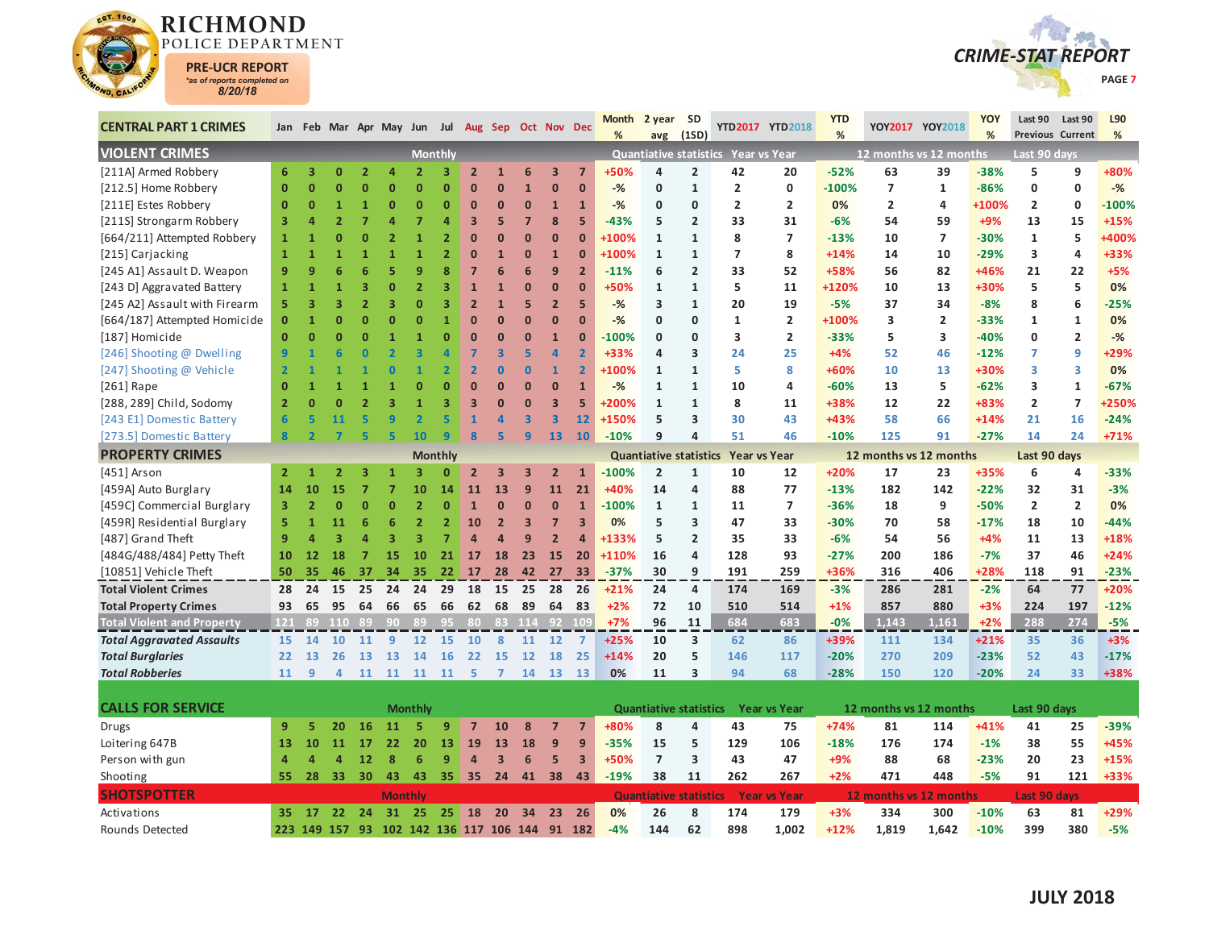



| <b>CENTRAL PART 1 CRIMES</b>      |                |                         |                |                |                |                |                |                         |                         | Jan Feb Mar Apr May Jun Jul Aug Sep Oct Nov Dec |                         |                         | <b>Month</b><br>% | 2 year                        | <b>SD</b><br>(1SD)      |                                     | YTD2017 YTD2018     | <b>YTD</b><br>% |                        | YOY2017 YOY2018 | <b>YOY</b><br>% | Last 90             | Last 90<br><b>Previous Current</b> | L90<br>% |
|-----------------------------------|----------------|-------------------------|----------------|----------------|----------------|----------------|----------------|-------------------------|-------------------------|-------------------------------------------------|-------------------------|-------------------------|-------------------|-------------------------------|-------------------------|-------------------------------------|---------------------|-----------------|------------------------|-----------------|-----------------|---------------------|------------------------------------|----------|
| <b>VIOLENT CRIMES</b>             |                |                         |                |                |                |                | <b>Monthly</b> |                         |                         |                                                 |                         |                         |                   | avg                           |                         | Quantiative statistics Year vs Year |                     |                 | 12 months vs 12 months |                 |                 | Last 90 days        |                                    |          |
| [211A] Armed Robbery              | 6              | $\overline{\mathbf{3}}$ | $\mathbf{0}$   | $\overline{ }$ | Δ              | $\overline{2}$ | 3              | $\overline{2}$          | $\mathbf{1}$            | 6                                               | $\overline{\mathbf{3}}$ | $\overline{7}$          | +50%              | $\overline{a}$                | $\overline{2}$          | 42                                  | 20                  | $-52%$          | 63                     | 39              | $-38%$          | 5                   | 9                                  | +80%     |
| [212.5] Home Robbery              | $\mathbf{0}$   | $\mathbf{0}$            | n              | n              | n              | $\mathbf{0}$   | $\mathbf 0$    | $\mathbf{0}$            | $\overline{0}$          | $\mathbf{1}$                                    | $\mathbf{0}$            | $\mathbf{0}$            | $-%$              | 0                             | $\mathbf{1}$            | $\overline{2}$                      | 0                   | $-100%$         | $\overline{7}$         | $\mathbf{1}$    | $-86%$          | 0                   | 0                                  | $-%$     |
| [211E] Estes Robbery              | $\overline{0}$ | $\mathbf{0}$            | $\overline{1}$ |                | n              | $\Omega$       | $\mathbf 0$    | $\mathbf{0}$            | $\overline{0}$          | $\bf{0}$                                        | $\mathbf{1}$            | $\mathbf{1}$            | $-$ %             | 0                             | 0                       | $\overline{2}$                      | $\overline{2}$      | 0%              | $\overline{2}$         | 4               | +100%           | $\overline{2}$      | $\mathbf 0$                        | $-100%$  |
| [211S] Strongarm Robbery          | 3              | Δ                       | $\overline{2}$ |                | Δ              | 7              | $\overline{a}$ | $\overline{\mathbf{3}}$ | 5                       | $\overline{7}$                                  | 8                       | 5                       | $-43%$            | 5                             | 2                       | 33                                  | 31                  | -6%             | 54                     | 59              | $+9%$           | 13                  | 15                                 | $+15%$   |
| [664/211] Attempted Robbery       | $\mathbf{1}$   | 1                       | ŋ              |                |                | 1              | $\overline{2}$ | $\mathbf{0}$            | $\overline{0}$          | $\overline{0}$                                  | $\mathbf{0}$            | $\mathbf{0}$            | +100%             | $\mathbf{1}$                  | $\mathbf{1}$            | 8                                   | $\overline{7}$      | $-13%$          | 10                     | $\overline{7}$  | $-30%$          | $\mathbf{1}$        | 5                                  | +400%    |
| [215] Carjacking                  | 1              | $\overline{1}$          |                |                |                | 1              | $\overline{2}$ | $\mathbf{0}$            | $\mathbf{1}$            | $\overline{0}$                                  | $\mathbf{1}$            | $\Omega$                | +100%             | 1                             | $\mathbf{1}$            | $\overline{7}$                      | 8                   | $+14%$          | 14                     | 10              | $-29%$          | 3                   | 4                                  | +33%     |
| [245 A1] Assault D. Weapon        | 9              | 9                       | 6              |                |                | 9              | 8              | $\overline{7}$          | 6                       | 6                                               | 9                       | $\overline{2}$          | $-11%$            | 6                             | $\overline{2}$          | 33                                  | 52                  | +58%            | 56                     | 82              | +46%            | 21                  | 22                                 | $+5%$    |
| [243 D] Aggravated Battery        | $\mathbf{1}$   | $\overline{1}$          |                |                | n              | 2              | 3              | $\mathbf{1}$            | $\mathbf{1}$            | $\overline{0}$                                  | $\mathbf{0}$            | $\Omega$                | +50%              | $\mathbf{1}$                  | $\mathbf{1}$            | 5                                   | 11                  | +120%           | 10                     | 13              | +30%            | 5                   | 5                                  | 0%       |
| [245 A2] Assault with Firearm     | 5              | 3                       | 3              |                | 3              | $\Omega$       | 3              | $\overline{2}$          | $\overline{1}$          | 5                                               | $\overline{2}$          | 5                       | $-$ %             | 3                             | $\mathbf{1}$            | 20                                  | 19                  | $-5%$           | 37                     | 34              | $-8%$           | 8                   | 6                                  | $-25%$   |
| [664/187] Attempted Homicide      | $\mathbf 0$    |                         | n              |                | n              | $\Omega$       | $\overline{1}$ | $\mathbf{0}$            | $\overline{0}$          | $\overline{0}$                                  | $\mathbf{0}$            | $\Omega$                | $-$ %             | 0                             | $\Omega$                | $\mathbf{1}$                        | $\overline{2}$      | +100%           | 3                      | $\overline{2}$  | $-33%$          | 1                   | 1                                  | 0%       |
| [187] Homicide                    | $\bf{0}$       | $\Omega$                | በ              |                |                | $\overline{1}$ | $\mathbf 0$    | $\mathbf{0}$            | $\overline{0}$          | $\overline{0}$                                  | $\mathbf{1}$            | $\bf{0}$                | $-100%$           | 0                             | $\Omega$                | 3                                   | $\overline{2}$      | $-33%$          | 5                      | 3               | $-40%$          | 0                   | 2                                  | $-%$     |
| [246] Shooting @ Dwelling         | 9              |                         |                |                |                |                | $\overline{a}$ | 7                       | $\overline{\mathbf{3}}$ | 5                                               | $\overline{a}$          | $\overline{a}$          | +33%              | 4                             | 3                       | 24                                  | 25                  | $+4%$           | 52                     | 46              | $-12%$          | 7                   | 9                                  | +29%     |
| [247] Shooting @ Vehicle          | $\overline{2}$ |                         |                |                |                |                |                | $\overline{2}$          | $\overline{0}$          | $\bf{0}$                                        | 1                       | $\overline{2}$          | +100%             | 1                             | $\mathbf{1}$            | 5                                   | 8                   | +60%            | 10                     | 13              | +30%            | 3                   | 3                                  | 0%       |
| [261] Rape                        | $\Omega$       | 1                       |                |                |                | $\mathbf{0}$   | $\Omega$       | $\mathbf{0}$            | $\overline{0}$          | $\overline{0}$                                  | $\mathbf{0}$            | $\mathbf{1}$            | $-$ %             | $\mathbf{1}$                  | $\mathbf{1}$            | 10                                  | 4                   | $-60%$          | 13                     | 5               | $-62%$          | 3                   | $\mathbf{1}$                       | $-67%$   |
| [288, 289] Child, Sodomy          | $\overline{2}$ | $\Omega$                | n              |                | ٩              |                | 3              | $\overline{\mathbf{3}}$ | $\overline{0}$          | $\bf{0}$                                        | $\overline{\mathbf{3}}$ | 5                       | +200%             | $\mathbf{1}$                  | $\mathbf{1}$            | 8                                   | 11                  | +38%            | 12                     | 22              | +83%            | $\overline{2}$      | $\overline{\mathbf{z}}$            | +250%    |
| [243 E1] Domestic Battery         | 6              | 5.                      | 11             |                |                | $\overline{2}$ | 5              | $\mathbf{1}$            | $\overline{a}$          | $\overline{\mathbf{3}}$                         | $\overline{\mathbf{3}}$ | 12                      | +150%             | 5                             | 3                       | 30                                  | 43                  | +43%            | 58                     | 66              | $+14%$          | 21                  | 16                                 | $-24%$   |
| [273.5] Domestic Battery          | 8              | $\overline{ }$          |                |                | 5              | 10             | 9              | 8                       | 5                       | 9                                               | 13                      | <b>10</b>               | $-10%$            | 9                             | 4                       | 51                                  | 46                  | $-10%$          | 125                    | 91              | $-27%$          | 14                  | 24                                 | $+71%$   |
| <b>PROPERTY CRIMES</b>            |                |                         |                |                |                |                | <b>Monthly</b> |                         |                         |                                                 |                         |                         |                   | <b>Quantiative statistics</b> |                         | <b>Year vs Year</b>                 |                     |                 | 12 months vs 12 months |                 |                 | Last 90 days        |                                    |          |
| [451] Arson                       | $\overline{2}$ | 1                       | $\overline{2}$ |                | 1              | 3              | $\overline{0}$ | $\overline{2}$          | $\overline{\mathbf{3}}$ | 3                                               | $\overline{2}$          | $\mathbf{1}$            | $-100%$           | $\overline{2}$                | $\mathbf{1}$            | 10                                  | 12                  | $+20%$          | 17                     | 23              | +35%            | 6                   | 4                                  | $-33%$   |
| [459A] Auto Burglary              | 14             | 10                      | 15             |                |                | 10             | 14             | 11                      | 13                      | 9                                               | 11                      | 21                      | +40%              | 14                            | $\overline{\mathbf{4}}$ | 88                                  | 77                  | $-13%$          | 182                    | 142             | $-22%$          | 32                  | 31                                 | $-3%$    |
| [459C] Commercial Burglary        | 3              | $\overline{2}$          | Ō              |                | $\Omega$       | $\overline{2}$ | $\mathbf 0$    | $\mathbf{1}$            | $\overline{0}$          | $\bf{0}$                                        | $\mathbf{0}$            | $\mathbf{1}$            | $-100%$           | $\mathbf{1}$                  | $\mathbf{1}$            | 11                                  | $\overline{7}$      | $-36%$          | 18                     | 9               | $-50%$          | $\overline{2}$      | $\overline{\mathbf{2}}$            | 0%       |
| [459R] Residential Burglary       | 5              | $\mathbf{1}$            | 11             |                | 6              | $\overline{2}$ | $\overline{2}$ | 10                      | $\overline{2}$          | $\overline{\mathbf{3}}$                         | $\overline{7}$          | $\overline{\mathbf{3}}$ | 0%                | 5                             | 3                       | 47                                  | 33                  | $-30%$          | 70                     | 58              | $-17%$          | 18                  | 10                                 | $-44%$   |
| [487] Grand Theft                 | 9              | 4                       | 3              |                | 3              | 3              | 7              | $\overline{a}$          | $\overline{a}$          | 9                                               | $\overline{2}$          | $\overline{a}$          | +133%             | 5                             | $\overline{2}$          | 35                                  | 33                  | $-6%$           | 54                     | 56              | +4%             | 11                  | 13                                 | +18%     |
| [484G/488/484] Petty Theft        | 10             | 12                      | 18             | $\overline{7}$ | 15             | 10             | 21             | 17                      | 18                      | 23                                              | 15                      | 20                      | +110%             | 16                            | 4                       | 128                                 | 93                  | $-27%$          | 200                    | 186             | $-7%$           | 37                  | 46                                 | $+24%$   |
| [10851] Vehicle Theft             | 50             | 35                      | 46             | 37             | 34             | 35             | 22             | 17                      | 28                      | 42                                              | 27                      | 33 <sup>3</sup>         | $-37%$            | 30                            | 9                       | 191                                 | 259                 | +36%            | 316                    | 406             | +28%            | 118                 | 91                                 | $-23%$   |
| <b>Total Violent Crimes</b>       | 28             | 24                      | 15             | 25             | 24             | 24             | 29             | 18                      | 15                      | 25                                              | 28                      | 26                      | $+21%$            | 24                            | 4                       | 174                                 | 169                 | $-3%$           | 286                    | 281             | $-2%$           | 64                  | 77                                 | +20%     |
| <b>Total Property Crimes</b>      | 93             | 65                      | 95             | 64             | 66             | 65             | 66             | 62                      | 68                      | 89                                              | 64                      | 83                      | $+2%$             | 72                            | 10                      | 510                                 | 514                 | $+1%$           | 857                    | 880             | $+3%$           | 224                 | 197                                | $-12%$   |
| <b>Total Violent and Property</b> | 121            | 20                      | 110            |                | $89 - 90$      | 89             | $-95$          | 80                      |                         | 83 114                                          |                         | $-92$ 109               | $+7%$             | 96                            | 11                      | 684                                 | 683                 | $-0%$           | 1.143                  | 1.161           | $+2%$           | 288                 | 274                                | $-5%$    |
| <b>Total Aggravated Assaults</b>  | 15             | 14                      | 10             | 11             | $\overline{9}$ | 12             | <b>15</b>      | 10                      | 8                       | 11                                              | 12                      | $\overline{7}$          | $+25%$            | 10                            | 3                       | 62                                  | 86                  | +39%            | 111                    | 134             | +21%            | 35                  | 36                                 | $+3%$    |
| <b>Total Burglaries</b>           | 22             | 13                      | 26             | 13             | 13             | 14             | <b>16</b>      | 22                      | 15                      | 12                                              | 18                      | 25                      | $+14%$            | 20                            | 5                       | 146                                 | 117                 | $-20%$          | 270                    | 209             | $-23%$          | 52                  | 43                                 | $-17%$   |
| <b>Total Robberies</b>            | 11             | 9                       | 4              | 11             | 11             | 11             | 11             | 5                       |                         | 14                                              | 13                      | 13                      | 0%                | 11                            | 3                       | 94                                  | 68                  | $-28%$          | 150                    | 120             | $-20%$          | 24                  | 33                                 | +38%     |
|                                   |                |                         |                |                |                |                |                |                         |                         |                                                 |                         |                         |                   |                               |                         |                                     |                     |                 |                        |                 |                 |                     |                                    |          |
| <b>CALLS FOR SERVICE</b>          |                |                         |                |                |                | <b>Monthly</b> |                |                         |                         |                                                 |                         |                         |                   | <b>Quantiative statistics</b> |                         |                                     | <b>Year vs Year</b> |                 | 12 months vs 12 months |                 |                 | Last 90 days        |                                    |          |
| Drugs                             | 9              | 5                       | 20             | 16             | 11             | 5              | 9              | $\overline{7}$          | 10                      | 8                                               | $\overline{7}$          | $\overline{7}$          | +80%              | 8                             | 4                       | 43                                  | 75                  | $+74%$          | 81                     | 114             | +41%            | 41                  | 25                                 | $-39%$   |
| Loitering 647B                    | 13             | 10                      | 11             | 17             | 22             | 20             | 13             | 19                      | 13                      | 18                                              | 9                       | 9                       | $-35%$            | 15                            | 5                       | 129                                 | 106                 | $-18%$          | 176                    | 174             | $-1%$           | 38                  | 55                                 | +45%     |
| Person with gun                   | $\overline{4}$ | 4                       | 4              | 12             | 8              | 6              | 9              | $\overline{a}$          | $\overline{3}$          | 6                                               | 5                       | 3                       | +50%              | $\overline{7}$                | 3                       | 43                                  | 47                  | $+9%$           | 88                     | 68              | $-23%$          | 20                  | 23                                 | $+15%$   |
| Shooting                          | 55             | 28                      | 33             | 30             | 43             | 43             | 35             | 35                      | 24                      | 41                                              | 38                      | 43                      | $-19%$            | 38                            | 11                      | 262                                 | 267                 | $+2%$           | 471                    | 448             | $-5%$           | 91                  | 121                                | +33%     |
| <b>SHOTSPOTTER</b>                |                |                         |                |                |                | Monthly        |                |                         |                         |                                                 |                         |                         |                   | <b>Quantiative statistics</b> |                         |                                     | <b>Year vs Year</b> |                 | 12 months vs 12 months |                 |                 | <b>Last 90 days</b> |                                    |          |
| Activations                       | 35             | 17                      | 22 24          |                |                | 31 25          |                | 25 18                   | 20                      | 34                                              | 23                      | 26                      | 0%                | 26                            | 8                       | 174                                 | 179                 | $+3%$           | 334                    | 300             | $-10%$          | 63                  | 81                                 | +29%     |
| Rounds Detected                   |                |                         |                |                |                |                |                |                         |                         | 223 149 157 93 102 142 136 117 106 144 91 182   |                         |                         | $-4%$             | 144                           | 62                      | 898                                 | 1.002               | $+12%$          | 1.819                  | 1.642           | $-10%$          | 399                 | 380                                | $-5%$    |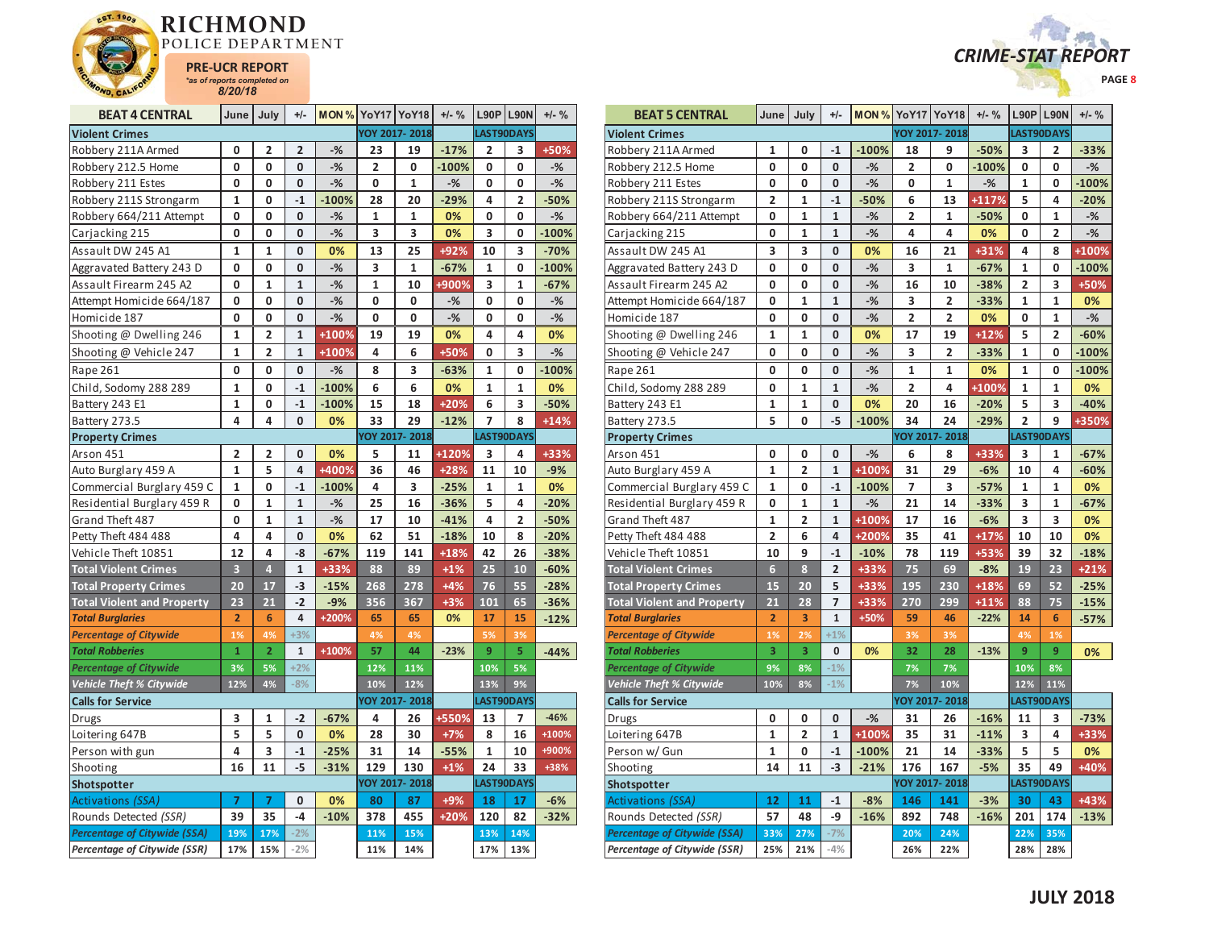



| <b>BEAT 4 CENTRAL</b>               | June                    | July           | $+/-$        | <b>MON % YoY17 YoY18</b> |              |               | $+/-$ % | L90P         | <b>L90N</b>  | $+/-$ % |
|-------------------------------------|-------------------------|----------------|--------------|--------------------------|--------------|---------------|---------|--------------|--------------|---------|
| <b>Violent Crimes</b>               |                         |                |              |                          |              | YOY 2017-2018 |         |              | LAST90DAYS   |         |
| Robbery 211A Armed                  | 0                       | 2              | 2            | $-%$                     | 23           | 19            | $-17%$  | 2            | 3            | +50%    |
| Robbery 212.5 Home                  | 0                       | 0              | 0            | $-%$                     | 2            | 0             | $-100%$ | 0            | 0            | $-%$    |
| Robbery 211 Estes                   | 0                       | 0              | 0            | $-%$                     | 0            | $\mathbf{1}$  | $-%$    | 0            | 0            | $-$ %   |
| Robbery 211S Strongarm              | 1                       | 0              | $-1$         | $-100%$                  | 28           | 20            | $-29%$  | 4            | 2            | $-50%$  |
| Robbery 664/211 Attempt             | 0                       | $\mathbf 0$    | 0            | $-$ %                    | $\mathbf{1}$ | 1             | 0%      | 0            | 0            | $-%$    |
| Carjacking 215                      | 0                       | 0              | 0            | $-%$                     | 3            | 3             | 0%      | 3            | 0            | $-100%$ |
| Assault DW 245 A1                   | 1                       | 1              | 0            | 0%                       | 13           | 25            | +92%    | 10           | 3            | $-70%$  |
| Aggravated Battery 243 D            | 0                       | 0              | 0            | $-%$                     | 3            | $\mathbf{1}$  | $-67%$  | 1            | 0            | $-100%$ |
| Assault Firearm 245 A2              | 0                       | $\mathbf{1}$   | $\mathbf{1}$ | $-%$                     | $\mathbf{1}$ | 10            | +900%   | 3            | $\mathbf{1}$ | $-67%$  |
| Attempt Homicide 664/187            | 0                       | 0              | 0            | $-%$                     | 0            | 0             | $-%$    | 0            | 0            | $-%$    |
| Homicide 187                        | 0                       | 0              | 0            | $-%$                     | 0            | 0             | $-$ %   | 0            | 0            | $-%$    |
| Shooting @ Dwelling 246             | $\mathbf{1}$            | $\overline{2}$ | $\mathbf{1}$ | +100%                    | 19           | 19            | 0%      | 4            | 4            | 0%      |
| Shooting @ Vehicle 247              | $\mathbf{1}$            | $\overline{2}$ | $\mathbf{1}$ | +100%                    | 4            | 6             | +50%    | 0            | 3            | $-%$    |
| Rape 261                            | 0                       | 0              | 0            | $-%$                     | 8            | 3             | $-63%$  | 1            | 0            | $-100%$ |
| Child, Sodomy 288 289               | $\mathbf{1}$            | $\mathbf{0}$   | $-1$         | $-100%$                  | 6            | 6             | 0%      | $\mathbf{1}$ | $\mathbf{1}$ | 0%      |
| Battery 243 E1                      | 1                       | 0              | $-1$         | $-100%$                  | 15           | 18            | $+20%$  | 6            | 3            | $-50%$  |
| Battery 273.5                       | 4                       | 4              | 0            | 0%                       | 33           | 29            | $-12%$  | 7            | 8            | $+14%$  |
| <b>Property Crimes</b>              |                         |                |              |                          |              | YOY 2017-2018 |         |              | LAST90DAYS   |         |
| Arson 451                           | 2                       | 2              | 0            | 0%                       | 5            | 11            | +120%   | 3            | 4            | $+33%$  |
| Auto Burglary 459 A                 | $\mathbf{1}$            | 5              | 4            | +400%                    | 36           | 46            | $+28%$  | 11           | 10           | $-9%$   |
| Commercial Burglary 459 C           | 1                       | 0              | $-1$         | $-100%$                  | 4            | 3             | $-25%$  | 1            | $\mathbf{1}$ | 0%      |
| Residential Burglary 459 R          | 0                       | $\mathbf{1}$   | $\mathbf{1}$ | $-%$                     | 25           | 16            | $-36%$  | 5            | 4            | $-20%$  |
| Grand Theft 487                     | 0                       | 1              | $\mathbf{1}$ | $-%$                     | 17           | 10            | $-41%$  | 4            | 2            | $-50%$  |
| Petty Theft 484 488                 | 4                       | 4              | 0            | 0%                       | 62           | 51            | $-18%$  | 10           | 8            | $-20%$  |
| Vehicle Theft 10851                 | 12                      | 4              | -8           | $-67%$                   | 119          | 141           | +18%    | 42           | 26           | $-38%$  |
| <b>Total Violent Crimes</b>         | $\overline{\mathbf{3}}$ | $\overline{4}$ | $\mathbf{1}$ | +33%                     | 88           | 89            | $+1%$   | 25           | 10           | $-60%$  |
| <b>Total Property Crimes</b>        | 20                      | 17             | $-3$         | $-15%$                   | 268          | 278           | $+4%$   | 76           | 55           | $-28%$  |
| <b>Total Violent and Property</b>   | 23                      | 21             | $-2$         | $-9%$                    | 356          | 367           | $+3%$   | 101          | 65           | $-36%$  |
| <b>Total Burglaries</b>             | $\overline{\mathbf{c}}$ | 6              | 4            | +200%                    | 65           | 65            | 0%      | 17           | 15           | $-12%$  |
| <b>Percentage of Citywide</b>       | 1%                      | 4%             | $+3%$        |                          | 4%           | 4%            |         | 5%           | 3%           |         |
| <b>Total Robberies</b>              | $\overline{1}$          | $\overline{2}$ | $\mathbf{1}$ | $+100%$                  | 57           | 44            | $-23%$  | 9            | 5            | $-44%$  |
| <b>Percentage of Citywide</b>       | 3%                      | 5%             | $+2%$        |                          | 12%          | 11%           |         | 10%          | 5%           |         |
| Vehicle Theft % Citywide            | 12%                     | 4%             | $-8%$        |                          | 10%          | 12%           |         | 13%          | 9%           |         |
| <b>Calls for Service</b>            |                         |                |              |                          |              | YOY 2017-2018 |         |              | LAST90DAYS   |         |
| <b>Drugs</b>                        | 3                       | 1              | $-2$         | $-67%$                   | 4            | 26            | +550%   | 13           | 7            | $-46%$  |
| Loitering 647B                      | 5                       | 5              | 0            | 0%                       | 28           | 30            | $+7%$   | 8            | 16           | +100%   |
| Person with gun                     | 4                       | 3              | $-1$         | $-25%$                   | 31           | 14            | $-55%$  | $\mathbf{1}$ | 10           | +900%   |
| Shooting                            | 16                      | 11             | $-5$         | $-31%$                   | 129          | 130           | $+1%$   | 24           | 33           | +38%    |
| Shotspotter                         |                         |                |              |                          |              | YOY 2017-2018 |         |              | LAST90DAYS   |         |
| Activations (SSA)                   | $\overline{7}$          | $\overline{7}$ | 0            | 0%                       | 80           | 87            | +9%     | 18           | 17           | $-6%$   |
| Rounds Detected (SSR)               | 39                      | 35             | $-4$         | $-10%$                   | 378          | 455           | +20%    | 120          | 82           | $-32%$  |
| <b>Percentage of Citywide (SSA)</b> | 19%                     | 17%            | $-2%$        |                          | 11%          | 15%           |         | 13%          | 14%          |         |
| Percentage of Citywide (SSR)        | 17%                     | 15%            | $-2%$        |                          | 11%          | 14%           |         | 17%          | 13%          |         |

| <b>BEAT 5 CENTRAL</b>               | June                    | July           | $+/-$          | MON%    |                         | YoY17 YoY18          | $+/-$ % |                | $L90P$   L90N  | $+/-$ % |
|-------------------------------------|-------------------------|----------------|----------------|---------|-------------------------|----------------------|---------|----------------|----------------|---------|
| <b>Violent Crimes</b>               |                         |                |                |         |                         | YOY 2017-2018        |         |                | LAST90DAYS     |         |
| Robbery 211A Armed                  | 1                       | 0              | $-1$           | $-100%$ | 18                      | 9                    | $-50%$  | 3              | 2              | $-33%$  |
| Robbery 212.5 Home                  | 0                       | 0              | 0              | $-%$    | 2                       | 0                    | $-100%$ | 0              | 0              | $-%$    |
| Robbery 211 Estes                   | 0                       | 0              | 0              | $-$ %   | 0                       | $\mathbf{1}$         | $-$ %   | $\mathbf{1}$   | 0              | $-100%$ |
| Robbery 211S Strongarm              | $\overline{2}$          | 1              | $-1$           | $-50%$  | 6                       | 13                   | +117%   | 5              | 4              | $-20%$  |
| Robbery 664/211 Attempt             | 0                       | $\mathbf 1$    | $\mathbf{1}$   | $-$ %   | $\overline{\mathbf{c}}$ | 1                    | $-50%$  | 0              | 1              | $-%$    |
| Carjacking 215                      | 0                       | 1              | $\mathbf{1}$   | $-$ %   | 4                       | 4                    | 0%      | 0              | 2              | $-$ %   |
| Assault DW 245 A1                   | 3                       | 3              | 0              | 0%      | 16                      | 21                   | +31%    | 4              | 8              | +100%   |
| Aggravated Battery 243 D            | 0                       | 0              | 0              | $-$ %   | 3                       | 1                    | $-67%$  | 1              | 0              | $-100%$ |
| Assault Firearm 245 A2              | 0                       | 0              | 0              | $-$ %   | 16                      | 10                   | $-38%$  | $\overline{2}$ | 3              | +50%    |
| Attempt Homicide 664/187            | 0                       | 1              | $\mathbf{1}$   | $-$ %   | 3                       | 2                    | $-33%$  | 1              | 1              | 0%      |
| Homicide 187                        | 0                       | 0              | 0              | $-%$    | $\overline{2}$          | $\overline{2}$       | 0%      | 0              | 1              | $-$ %   |
| Shooting @ Dwelling 246             | $\mathbf{1}$            | $\mathbf{1}$   | 0              | 0%      | 17                      | 19                   | $+12%$  | 5              | $\overline{2}$ | $-60%$  |
| Shooting @ Vehicle 247              | 0                       | 0              | 0              | $-$ %   | 3                       | $\overline{2}$       | $-33%$  | $\mathbf{1}$   | 0              | $-100%$ |
| Rape 261                            | 0                       | 0              | 0              | $-$ %   | 1                       | 1                    | 0%      | 1              | 0              | $-100%$ |
| Child, Sodomy 288 289               | 0                       | 1              | $\mathbf{1}$   | $-%$    | $\overline{2}$          | 4                    | +100%   | 1              | 1              | 0%      |
| Battery 243 E1                      | $\mathbf{1}$            | $\mathbf{1}$   | 0              | 0%      | 20                      | 16                   | $-20%$  | 5              | 3              | $-40%$  |
| Battery 273.5                       | 5                       | 0              | $-5$           | $-100%$ | 34                      | 24                   | $-29%$  | $\overline{2}$ | 9              | +350%   |
| <b>Property Crimes</b>              |                         |                |                |         |                         | YOY 2017-2018        |         |                | LAST90DAYS     |         |
| Arson 451                           | 0                       | 0              | 0              | $-$ %   | 6                       | 8                    | +33%    | 3              | 1              | $-67%$  |
| Auto Burglary 459 A                 | $\mathbf{1}$            | $\overline{2}$ | $\mathbf{1}$   | +100%   | 31                      | 29                   | $-6%$   | 10             | 4              | $-60%$  |
| Commercial Burglary 459 C           | $\mathbf 1$             | 0              | $-1$           | $-100%$ | $\overline{7}$          | 3                    | $-57%$  | 1              | 1              | 0%      |
| Residential Burglary 459 R          | 0                       | 1              | $\mathbf{1}$   | $-$ %   | 21                      | 14                   | $-33%$  | 3              | 1              | $-67%$  |
| Grand Theft 487                     | 1                       | $\overline{2}$ | $\mathbf{1}$   | +100%   | 17                      | 16                   | $-6%$   | 3              | 3              | 0%      |
| Petty Theft 484 488                 | $\overline{\mathbf{c}}$ | 6              | 4              | +200%   | 35                      | 41                   | $+17%$  | 10             | 10             | 0%      |
| Vehicle Theft 10851                 | 10                      | 9              | $-1$           | $-10%$  | 78                      | 119                  | +53%    | 39             | 32             | $-18%$  |
| <b>Total Violent Crimes</b>         | $6\overline{6}$         | 8              | $\overline{2}$ | +33%    | 75                      | 69                   | $-8%$   | 19             | 23             | $+21%$  |
| <b>Total Property Crimes</b>        | 15                      | 20             | 5              | +33%    | 195                     | 230                  | +18%    | 69             | 52             | $-25%$  |
| <b>Total Violent and Property</b>   | 21                      | 28             | 7              | +33%    | 270                     | 299                  | $+11%$  | 88             | 75             | $-15%$  |
| <b>Total Burglaries</b>             | $\overline{2}$          | 3              | $\mathbf 1$    | +50%    | 59                      | 46                   | $-22%$  | 14             | 6              | $-57%$  |
| <b>Percentage of Citywide</b>       | 1%                      | 2%             | $+1%$          |         | 3%                      | 3%                   |         | 4%             | 1%             |         |
| <b>Total Robberies</b>              | 3                       | 3              | 0              | 0%      | 32                      | 28                   | $-13%$  | 9              | 9              | 0%      |
| <b>Percentage of Citywide</b>       | 9%                      | 8%             | $-1%$          |         | 7%                      | 7%                   |         | 10%            | 8%             |         |
| Vehicle Theft % Citywide            | 10%                     | 8%             | $-1%$          |         | 7%                      | 10%                  |         | 12%            | 11%            |         |
| <b>Calls for Service</b>            |                         |                |                |         |                         | <b>YOY 2017-2018</b> |         |                | LAST90DAYS     |         |
| Drugs                               | 0                       | 0              | 0              | $-$ %   | 31                      | 26                   | $-16%$  | 11             | 3              | $-73%$  |
| Loitering 647B                      | $\mathbf{1}$            | $\overline{2}$ | $\mathbf{1}$   | +100%   | 35                      | 31                   | $-11%$  | 3              | 4              | +33%    |
| Person w/ Gun                       | 1                       | 0              | $-1$           | $-100%$ | 21                      | 14                   | $-33%$  | 5              | 5              | 0%      |
| Shooting                            | 14                      | 11             | $-3$           | $-21%$  | 176                     | 167                  | $-5%$   | 35             | 49             | +40%    |
| Shotspotter                         |                         |                |                |         |                         | YOY 2017-2018        |         |                | LAST90DAYS     |         |
| <b>Activations (SSA)</b>            | 12                      | 11             | $-1$           | $-8%$   | 146                     | 141                  | $-3%$   | 30             | 43             | +43%    |
| Rounds Detected (SSR)               | 57                      | 48             | $-9$           | $-16%$  | 892                     | 748                  | $-16%$  | 201            | 174            | $-13%$  |
| <b>Percentage of Citywide (SSA)</b> | 33%                     | 27%            | $-7%$          |         | 20%                     | 24%                  |         | 22%            | 35%            |         |
| Percentage of Citywide (SSR)        | 25%                     | 21%            | $-4%$          |         | 26%                     | 22%                  |         | 28%            | 28%            |         |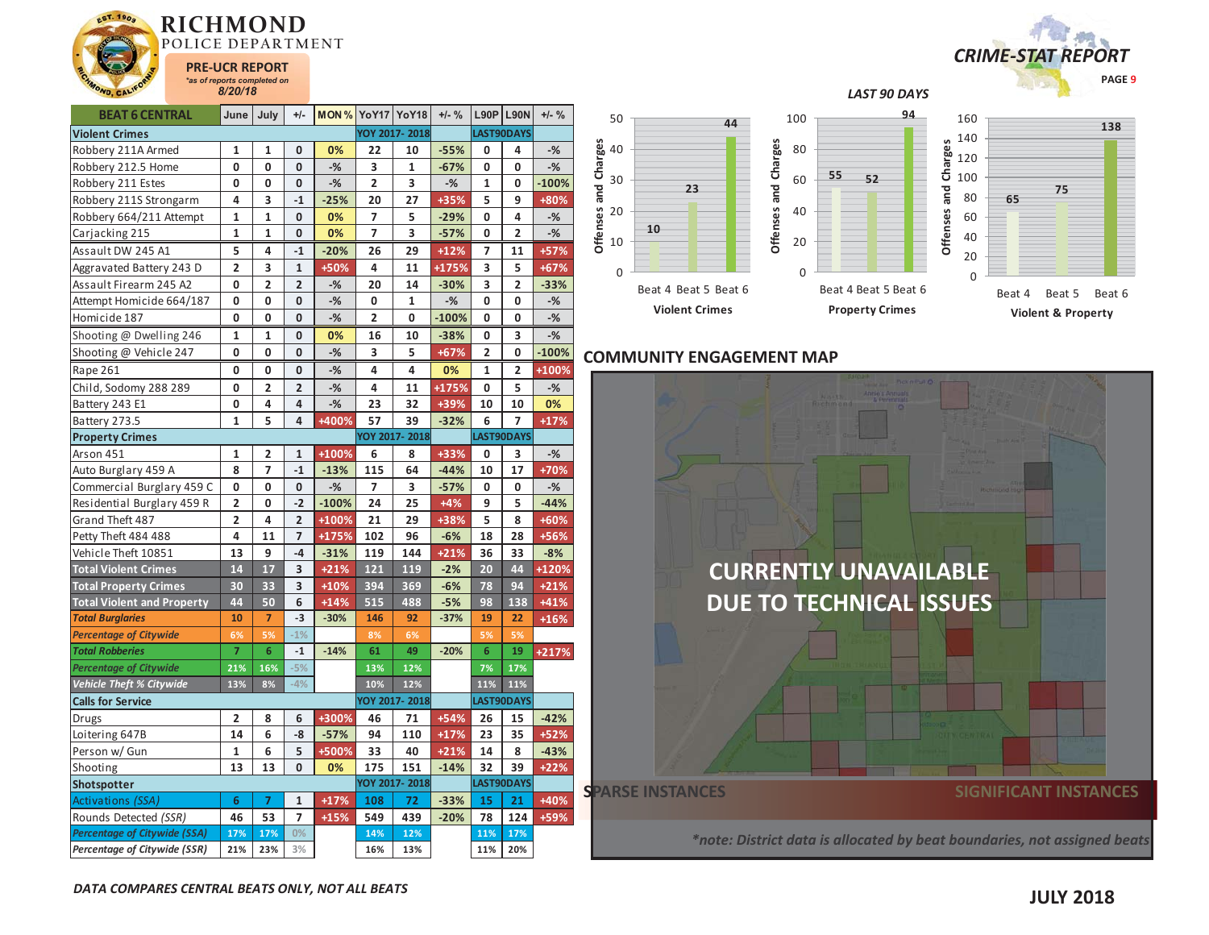



| <b>DEAT O CEIVINAL</b>              |                         | June   July             | $T/-$          |         |                |               | $T/- 70$ |                         | <b>LAOL</b> FAOIA       | $T/- 70$ | 50                         |
|-------------------------------------|-------------------------|-------------------------|----------------|---------|----------------|---------------|----------|-------------------------|-------------------------|----------|----------------------------|
| <b>Violent Crimes</b>               |                         |                         |                |         |                | YOY 2017-2018 |          |                         | LAST90DAYS              |          |                            |
| Robbery 211A Armed                  | 1                       | 1                       | 0              | 0%      | 22             | 10            | $-55%$   | 0                       | 4                       | $-$ %    | 40                         |
| Robbery 212.5 Home                  | 0                       | 0                       | 0              | $-%$    | 3              | 1             | $-67%$   | 0                       | 0                       | $-%$     |                            |
| Robbery 211 Estes                   | 0                       | 0                       | 0              | $-%$    | $\overline{2}$ | 3             | $-%$     | 1                       | 0                       | $-100%$  | 30                         |
| Robbery 211S Strongarm              | 4                       | 3                       | $-1$           | $-25%$  | 20             | 27            | +35%     | 5                       | 9                       | +80%     |                            |
| Robbery 664/211 Attempt             | 1                       | 1                       | 0              | 0%      | 7              | 5             | $-29%$   | 0                       | 4                       | $-$ %    | Offenses and Charges<br>20 |
| Carjacking 215                      | 1                       | 1                       | 0              | 0%      | 7              | 3             | $-57%$   | 0                       | 2                       | $-$ %    |                            |
| Assault DW 245 A1                   | 5                       | 4                       | $-1$           | $-20%$  | 26             | 29            | $+12%$   | $\overline{7}$          | 11                      | +57%     | 10                         |
| Aggravated Battery 243 D            | $\overline{\mathbf{c}}$ | 3                       | $\mathbf{1}$   | +50%    | 4              | 11            | +175%    | 3                       | 5                       | +67%     | $\mathbf 0$                |
| Assault Firearm 245 A2              | 0                       | $\overline{2}$          | $\overline{2}$ | $-%$    | 20             | 14            | $-30%$   | 3                       | $\overline{2}$          | $-33%$   |                            |
| Attempt Homicide 664/187            | 0                       | 0                       | 0              | $-%$    | 0              | $\mathbf 1$   | $-$ %    | 0                       | 0                       | $-$ %    |                            |
| Homicide 187                        | 0                       | 0                       | 0              | $-$ %   | $\overline{2}$ | 0             | $-100%$  | 0                       | 0                       | $-%$     |                            |
| Shooting @ Dwelling 246             | 1                       | 1                       | 0              | 0%      | 16             | 10            | $-38%$   | 0                       | 3                       | $-%$     |                            |
| Shooting @ Vehicle 247              | 0                       | 0                       | 0              | $-$ %   | 3              | 5             | +67%     | $\overline{\mathbf{c}}$ | 0                       | $-100%$  | <b>COMI</b>                |
| Rape 261                            | 0                       | 0                       | 0              | $-%$    | 4              | 4             | 0%       | 1                       | $\overline{\mathbf{c}}$ | +100%    |                            |
| Child, Sodomy 288 289               | 0                       | $\overline{\mathbf{c}}$ | $\overline{2}$ | -%      | 4              | 11            | +175%    | 0                       | 5                       | $-$ %    |                            |
| Battery 243 E1                      | 0                       | 4                       | 4              | $-%$    | 23             | 32            | +39%     | 10                      | 10                      | 0%       |                            |
| Battery 273.5                       | 1                       | 5                       | 4              | +400%   | 57             | 39            | $-32%$   | 6                       | 7                       | $+17%$   |                            |
| <b>Property Crimes</b>              |                         |                         |                |         |                | YOY 2017-2018 |          |                         | LAST90DAYS              |          |                            |
| Arson 451                           | 1                       | 2                       | $\mathbf{1}$   | +100%   | 6              | 8             | +33%     | 0                       | 3                       | $-$ %    |                            |
| Auto Burglary 459 A                 | 8                       | 7                       | $-1$           | $-13%$  | 115            | 64            | $-44%$   | 10                      | 17                      | +70%     |                            |
| Commercial Burglary 459 C           | 0                       | 0                       | 0              | $-%$    | 7              | 3             | $-57%$   | 0                       | 0                       | $-$ %    |                            |
| Residential Burglary 459 R          | $\overline{\mathbf{c}}$ | 0                       | $-2$           | $-100%$ | 24             | 25            | $+4%$    | 9                       | 5                       | $-44%$   |                            |
| Grand Theft 487                     | $\overline{\mathbf{c}}$ | 4                       | $\overline{2}$ | +100%   | 21             | 29            | +38%     | 5                       | 8                       | +60%     |                            |
| Petty Theft 484 488                 | 4                       | 11                      | $\overline{7}$ | +175%   | 102            | 96            | $-6%$    | 18                      | 28                      | +56%     |                            |
| Vehicle Theft 10851                 | 13                      | 9                       | $-4$           | $-31%$  | 119            | 144           | $+21%$   | 36                      | 33                      | $-8%$    |                            |
| <b>Total Violent Crimes</b>         | 14                      | 17                      | 3              | $+21%$  | 121            | 119           | $-2%$    | 20                      | 44                      | +120%    |                            |
| <b>Total Property Crimes</b>        | 30                      | 33                      | 3              | $+10%$  | 394            | 369           | $-6%$    | 78                      | 94                      | $+21%$   |                            |
| <b>Total Violent and Property</b>   | 44                      | 50                      | 6              | $+14%$  | 515            | 488           | $-5%$    | 98                      | 138                     | $+41%$   |                            |
| <b>Total Burglaries</b>             | 10                      | $\overline{7}$          | $-3$           | $-30%$  | 146            | 92            | $-37%$   | 19                      | 22                      | $+16%$   |                            |
| <b>Percentage of Citywide</b>       | 6%                      | 5%                      | $-1%$          |         | 8%             | 6%            |          | 5%                      | 5%                      |          |                            |
| <b>Total Robberies</b>              | $\overline{7}$          | 6                       | $-1$           | $-14%$  | 61             | 49            | $-20%$   | 6                       | 19                      | $+217%$  |                            |
| <b>Percentage of Citywide</b>       | 21%                     | 16%                     | $-5%$          |         | 13%            | 12%           |          | 7%                      | 17%                     |          |                            |
| <b>Vehicle Theft % Citywide</b>     | 13%                     | 8%                      | $-4%$          |         | 10%            | 12%           |          | 11%                     | 11%                     |          |                            |
| <b>Calls for Service</b>            |                         |                         |                |         |                | YOY 2017-2018 |          |                         | LAST90DAYS              |          |                            |
| Drugs                               | 2                       | 8                       | 6              | +300%   | 46             | 71            | $+54%$   | 26                      | 15                      | $-42%$   |                            |
| Loitering 647B                      | 14                      | 6                       | -8             | $-57%$  | 94             | 110           | $+17%$   | 23                      | 35                      | $+52%$   |                            |
| Person w/ Gun                       | 1                       | 6                       | 5              | +500%   | 33             | 40            | $+21%$   | 14                      | 8                       | $-43%$   |                            |
| Shooting                            | 13                      | 13                      | 0              | 0%      | 175            | 151           | $-14%$   | 32                      | 39                      | $+22%$   |                            |
| Shotspotter                         |                         |                         |                |         |                | YOY 2017-2018 |          |                         | LAST90DAYS              |          | <b>SPARS</b>               |
| Activations <i>(SSA)</i>            | 6                       | $\overline{7}$          | $\mathbf{1}$   | $+17%$  | 108            | 72            | $-33%$   | 15                      | 21                      | +40%     |                            |
| Rounds Detected (SSR)               | 46                      | 53                      | $\overline{7}$ | $+15%$  | 549            | 439           | $-20%$   | 78                      | 124                     | +59%     |                            |
| <b>Percentage of Citywide (SSA)</b> | 17%                     | 17%                     | $0\%$          |         | 14%            | 12%           |          | 11%                     | 17%                     |          |                            |

## *LAST 90 DAYS*



## **COMMUNITY ENGAGEMENT MAP**

**10**

0



*Percentage of Citywide (SSR)* **21% 23% 3% 16% 13% 11% 20%**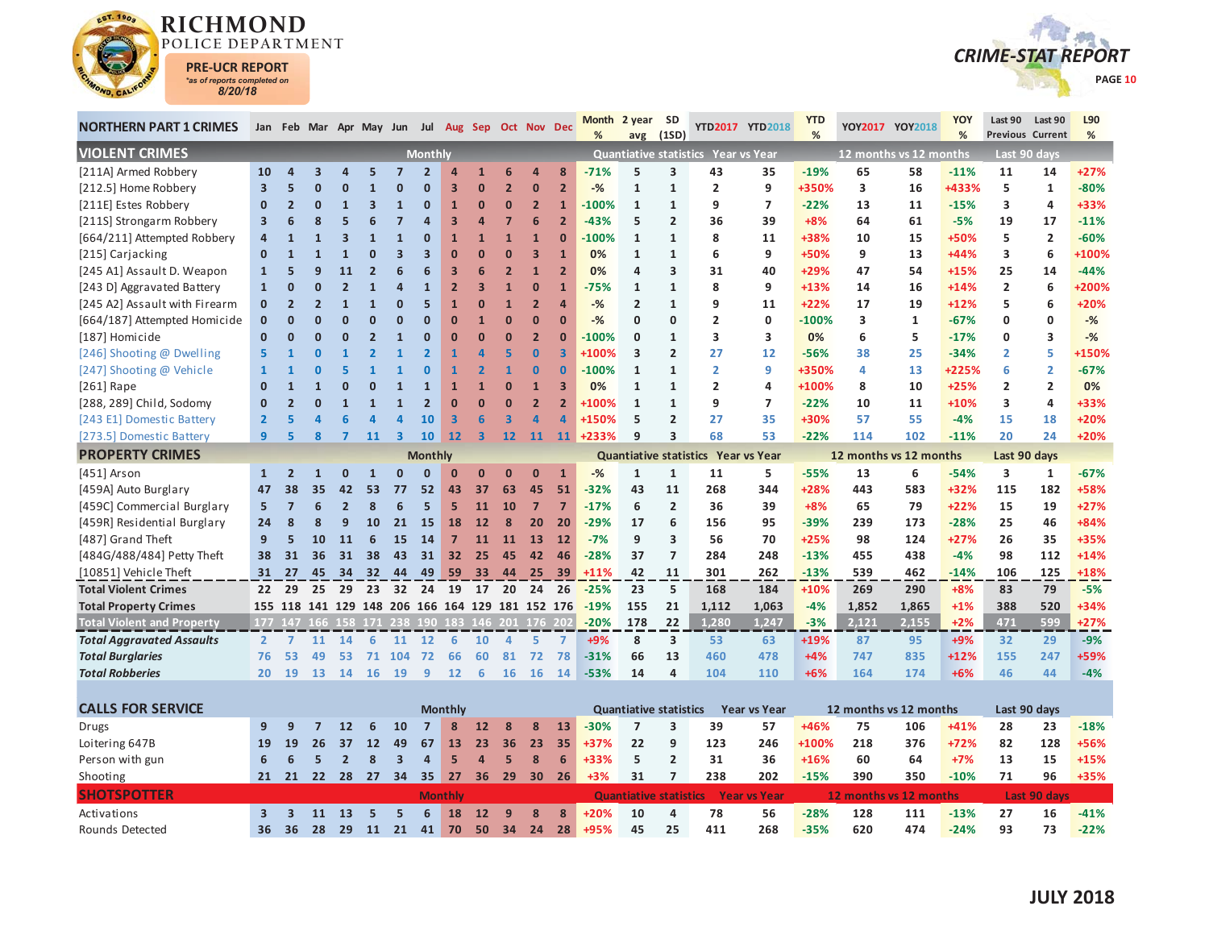



| %<br>%<br><b>Previous Current</b><br>%<br>(1SD)<br>avg<br><b>VIOLENT CRIMES</b><br>Quantiative statistics Year vs Year<br>12 months vs 12 months<br><b>Monthly</b><br>Last 90 days<br>[211A] Armed Robbery<br>$-71%$<br>3<br>43<br>$-19%$<br>65<br>58<br>10<br>3<br>$\overline{2}$<br>6<br>8<br>5<br>35<br>$-11%$<br>11<br>Δ<br>$\overline{a}$<br>14<br>[212.5] Home Robbery<br>$\overline{2}$<br>$\bf{0}$<br>$\overline{2}$<br>$-%$<br>9<br>+350%<br>3<br>16<br>+433%<br>5<br>3<br>З<br>$\overline{0}$<br>$\mathbf{1}$<br>$\mathbf{1}$<br>2<br>1<br>5<br>Ω<br>$\mathbf{0}$<br>[211E] Estes Robbery<br>$\mathbf 0$<br>$\overline{2}$<br>$-100%$<br>$\mathbf{1}$<br>$\mathbf{1}$<br>9<br>$\overline{7}$<br>$-22%$<br>13<br>11<br>$-15%$<br>3<br>4<br>$\mathbf{0}$<br>$\overline{2}$<br>$\Omega$<br>3<br>$\mathbf{1}$<br>$\overline{0}$<br>$\mathbf 0$<br>$\mathbf{1}$<br>[211S] Strongarm Robbery<br>3<br>7<br>6<br>$\overline{2}$<br>$\overline{2}$<br>$+8%$<br>64<br>19<br>$\overline{\mathbf{3}}$<br>6<br>8<br>$\overline{a}$<br>$-43%$<br>5<br>36<br>39<br>61<br>$-5%$<br>17<br>6<br>$\Delta$ | %<br>$+27%$<br>$-80%$<br>+33%<br>$-11%$<br>$-60%$<br>+100%<br>$-44%$<br>+200%<br>+20% |
|--------------------------------------------------------------------------------------------------------------------------------------------------------------------------------------------------------------------------------------------------------------------------------------------------------------------------------------------------------------------------------------------------------------------------------------------------------------------------------------------------------------------------------------------------------------------------------------------------------------------------------------------------------------------------------------------------------------------------------------------------------------------------------------------------------------------------------------------------------------------------------------------------------------------------------------------------------------------------------------------------------------------------------------------------------------------------------------------------|---------------------------------------------------------------------------------------|
|                                                                                                                                                                                                                                                                                                                                                                                                                                                                                                                                                                                                                                                                                                                                                                                                                                                                                                                                                                                                                                                                                                  |                                                                                       |
|                                                                                                                                                                                                                                                                                                                                                                                                                                                                                                                                                                                                                                                                                                                                                                                                                                                                                                                                                                                                                                                                                                  |                                                                                       |
|                                                                                                                                                                                                                                                                                                                                                                                                                                                                                                                                                                                                                                                                                                                                                                                                                                                                                                                                                                                                                                                                                                  |                                                                                       |
|                                                                                                                                                                                                                                                                                                                                                                                                                                                                                                                                                                                                                                                                                                                                                                                                                                                                                                                                                                                                                                                                                                  |                                                                                       |
|                                                                                                                                                                                                                                                                                                                                                                                                                                                                                                                                                                                                                                                                                                                                                                                                                                                                                                                                                                                                                                                                                                  |                                                                                       |
| [664/211] Attempted Robbery<br>$\overline{1}$<br>$-100%$<br>$\mathbf{1}$<br>8<br>11<br>+38%<br>15<br>+50%<br>5<br>$\overline{2}$<br>$\overline{\mathbf{z}}$<br>$\mathbf{1}$<br>$\overline{1}$<br>$\Omega$<br>$\mathbf{1}$<br>10<br>4<br>$\mathbf{1}$<br>ŋ<br>$\mathbf{1}$                                                                                                                                                                                                                                                                                                                                                                                                                                                                                                                                                                                                                                                                                                                                                                                                                        |                                                                                       |
| 6<br>9<br>9<br>3<br>6<br>[215] Carjacking<br>3<br>$\Omega$<br>$\overline{ }$<br>$\Omega$<br>$\overline{3}$<br>0%<br>$\mathbf{1}$<br>+50%<br>13<br>$+44%$<br>$\mathbf{0}$<br>$\mathbf{1}$<br>$\mathbf{1}$<br>3<br>$\mathbf{1}$<br>$\mathbf{1}$                                                                                                                                                                                                                                                                                                                                                                                                                                                                                                                                                                                                                                                                                                                                                                                                                                                    |                                                                                       |
| [245 A1] Assault D. Weapon<br>5<br>q<br>11<br>$\overline{\mathbf{3}}$<br>$\overline{2}$<br>$\overline{2}$<br>0%<br>3<br>31<br>+29%<br>25<br>$\mathbf{1}$<br>6<br>6<br>$\mathbf{1}$<br>4<br>40<br>47<br>54<br>$+15%$<br>14<br>6                                                                                                                                                                                                                                                                                                                                                                                                                                                                                                                                                                                                                                                                                                                                                                                                                                                                   |                                                                                       |
| $\overline{2}$<br>$\overline{1}$<br>$\overline{0}$<br>8<br>$\overline{2}$<br>6<br>[243 D] Aggravated Battery<br>$\mathbf{1}$<br>ŋ<br>ŋ<br>$\overline{\phantom{a}}$<br>$\mathbf{1}$<br>З<br>$-75%$<br>$\mathbf{1}$<br>9<br>+13%<br>16<br>$+14%$<br>$\mathbf{1}$<br>$\mathbf{1}$<br>14                                                                                                                                                                                                                                                                                                                                                                                                                                                                                                                                                                                                                                                                                                                                                                                                             |                                                                                       |
| [245 A2] Assault with Firearm<br>$\mathbf{0}$<br>$\overline{2}$<br>$\overline{2}$<br>5<br>$\mathbf{1}$<br>$\overline{1}$<br>$\overline{2}$<br>$\overline{a}$<br>$-$ %<br>$\overline{2}$<br>$\mathbf{1}$<br>9<br>11<br>$+22%$<br>17<br>19<br>$+12%$<br>5<br>6<br>n                                                                                                                                                                                                                                                                                                                                                                                                                                                                                                                                                                                                                                                                                                                                                                                                                                |                                                                                       |
| $\Omega$<br>$\mathbf{0}$<br>$-$ %<br>$\overline{2}$<br>[664/187] Attempted Homicide<br>$\Omega$<br>0<br>0<br>$-100%$<br>3<br>1<br>$-67%$<br>$\Omega$<br>$\mathbf{0}$<br>n<br>ŋ<br>n<br>$\mathbf{1}$<br>$\Omega$<br>0                                                                                                                                                                                                                                                                                                                                                                                                                                                                                                                                                                                                                                                                                                                                                                                                                                                                             | $-%$                                                                                  |
| $\overline{2}$<br>$-100%$<br>3<br>6<br>5<br>$-17%$<br>[187] Homicide<br>O<br>$\overline{0}$<br>$\Omega$<br>$\Omega$<br>$\Omega$<br>$\mathbf{0}$<br>$\mathbf{1}$<br>3<br>0%<br>0<br>3<br>$\mathbf{0}$<br>ŋ<br>$\mathbf{0}$                                                                                                                                                                                                                                                                                                                                                                                                                                                                                                                                                                                                                                                                                                                                                                                                                                                                        | $-%$                                                                                  |
| 5<br>$\mathbf{0}$<br>$\overline{\mathbf{3}}$<br>$\overline{2}$<br>5<br>[246] Shooting @ Dwelling<br>5<br>1<br>Δ<br>27<br>12<br>$-56%$<br>25<br>$-34%$<br>$\overline{2}$<br>n<br>$\overline{\mathbf{2}}$<br>+100%<br>3<br>38                                                                                                                                                                                                                                                                                                                                                                                                                                                                                                                                                                                                                                                                                                                                                                                                                                                                      | +150%                                                                                 |
| $\bf{0}$<br>$\overline{2}$<br>9<br>+225%<br>$\overline{2}$<br>[247] Shooting @ Vehicle<br>1<br>$\overline{2}$<br>$\mathbf{1}$<br>$\Omega$<br>$-100%$<br>$\mathbf{1}$<br>$\mathbf{1}$<br>+350%<br>4<br>13<br>6<br>$\mathbf{1}$<br>በ<br>n                                                                                                                                                                                                                                                                                                                                                                                                                                                                                                                                                                                                                                                                                                                                                                                                                                                          | $-67%$                                                                                |
| $\Omega$<br>$\overline{2}$<br>$+25%$<br>$\overline{2}$<br>[ $261$ ] Rape<br>$\mathbf{0}$<br>$\mathbf{1}$<br>$\overline{1}$<br>$\mathbf{1}$<br>$\overline{\mathbf{3}}$<br>0%<br>$\mathbf{1}$<br>$\mathbf{1}$<br>4<br>+100%<br>8<br>10<br>$\overline{2}$<br>1                                                                                                                                                                                                                                                                                                                                                                                                                                                                                                                                                                                                                                                                                                                                                                                                                                      | 0%                                                                                    |
| $\overline{2}$<br>[288, 289] Child, Sodomy<br>$\mathbf{0}$<br>$\overline{0}$<br>$\Omega$<br>$\Omega$<br>$\overline{2}$<br>+100%<br>$\mathbf{1}$<br>9<br>$\overline{7}$<br>$-22%$<br>11<br>$+10%$<br>3<br>4<br>$\mathbf{1}$<br>10                                                                                                                                                                                                                                                                                                                                                                                                                                                                                                                                                                                                                                                                                                                                                                                                                                                                 | +33%                                                                                  |
| 10<br>$\overline{\mathbf{3}}$<br>6<br>$\overline{\mathbf{3}}$<br>$\overline{2}$<br>27<br>[243 E1] Domestic Battery<br>$\overline{2}$<br>Δ<br>5<br>35<br>+30%<br>57<br>55<br>$-4%$<br>15<br>18<br>+150%                                                                                                                                                                                                                                                                                                                                                                                                                                                                                                                                                                                                                                                                                                                                                                                                                                                                                           | +20%                                                                                  |
| 12<br>68<br>24<br>[273.5] Domestic Battery<br>9<br>10<br>$\overline{\mathbf{3}}$<br>12<br>3<br>53<br>$-22%$<br>114<br>102<br>$-11%$<br>20<br>11<br>$\overline{\mathbf{3}}$<br><b>11</b><br>11<br>+233%<br>9                                                                                                                                                                                                                                                                                                                                                                                                                                                                                                                                                                                                                                                                                                                                                                                                                                                                                      | $+20%$                                                                                |
| <b>PROPERTY CRIMES</b><br>Quantiative statistics Year vs Year<br>12 months vs 12 months<br><b>Monthly</b><br>Last 90 days                                                                                                                                                                                                                                                                                                                                                                                                                                                                                                                                                                                                                                                                                                                                                                                                                                                                                                                                                                        |                                                                                       |
| [451] Arson<br>$-55%$<br>6<br>3<br>$\mathbf{1}$<br>$\Omega$<br>$\mathbf 0$<br>$-$ %<br>$\mathbf{1}$<br>$\mathbf{1}$<br>11<br>5<br>13<br>$-54%$<br>1<br>$\overline{2}$<br>0<br>0<br>$\mathbf{1}$                                                                                                                                                                                                                                                                                                                                                                                                                                                                                                                                                                                                                                                                                                                                                                                                                                                                                                  | $-67%$                                                                                |
| [459A] Auto Burglary<br>38<br>35<br>63<br>$-32%$<br>11<br>268<br>344<br>+28%<br>443<br>583<br>+32%<br>182<br>47<br>42<br>53<br>52<br>43<br>37<br>45<br>51<br>43<br>115<br>77                                                                                                                                                                                                                                                                                                                                                                                                                                                                                                                                                                                                                                                                                                                                                                                                                                                                                                                     | +58%                                                                                  |
| [459C] Commercial Burglary<br>$\overline{2}$<br>$+8%$<br>79<br>$+22%$<br>5<br>7<br>6<br>5<br>5<br>11<br>10<br>$\overline{7}$<br>$\overline{7}$<br>$-17%$<br>6<br>36<br>39<br>65<br>15<br>19<br>$\overline{2}$<br>6                                                                                                                                                                                                                                                                                                                                                                                                                                                                                                                                                                                                                                                                                                                                                                                                                                                                               | $+27%$                                                                                |
| [459R] Residential Burglary<br>18<br>8<br>$-29%$<br>6<br>156<br>95<br>$-39%$<br>239<br>173<br>$-28%$<br>25<br>24<br>$\mathbf{8}$<br>8<br>q<br>10<br>21<br>15<br>12<br>20<br>20<br>17<br>46                                                                                                                                                                                                                                                                                                                                                                                                                                                                                                                                                                                                                                                                                                                                                                                                                                                                                                       | +84%                                                                                  |
| 56<br>[487] Grand Theft<br>5<br>$\overline{7}$<br>9<br>3<br>70<br>$+25%$<br>124<br>$+27%$<br>26<br>9<br>10<br>15<br>14<br>11<br>$-7%$<br>98<br>35<br>11<br>6<br><b>11</b><br>13<br>12                                                                                                                                                                                                                                                                                                                                                                                                                                                                                                                                                                                                                                                                                                                                                                                                                                                                                                            | +35%                                                                                  |
| [484G/488/484] Petty Theft<br>32 <sub>2</sub><br>37<br>$\overline{7}$<br>284<br>438<br>$-4%$<br>98<br>112<br>38<br>31<br>36<br>31<br>38<br>43<br>31<br>25<br>45<br>42<br>$-28%$<br>248<br>$-13%$<br>455<br>46                                                                                                                                                                                                                                                                                                                                                                                                                                                                                                                                                                                                                                                                                                                                                                                                                                                                                    | $+14%$                                                                                |
| [10851] Vehicle Theft<br>27<br>59 33 44<br>11<br>301<br>262<br>$-13%$<br>539<br>462<br>$-14%$<br>125<br>31<br>45<br>34<br>32 <sub>2</sub><br>44<br>49<br>25 39<br>$+11%$<br>42<br>106                                                                                                                                                                                                                                                                                                                                                                                                                                                                                                                                                                                                                                                                                                                                                                                                                                                                                                            | +18%                                                                                  |
| 29<br>25<br>29<br>23<br>32 <sup>2</sup><br>24 19 17<br>20<br>24<br>23<br>5<br>$+8%$<br><b>Total Violent Crimes</b><br>22<br>26<br>$-25%$<br>168<br>184<br>+10%<br>269<br>290<br>83<br>79                                                                                                                                                                                                                                                                                                                                                                                                                                                                                                                                                                                                                                                                                                                                                                                                                                                                                                         | $-5%$                                                                                 |
| <b>Total Property Crimes</b><br>155 118 141 129 148 206 166 164 129 181 152 176<br>$-19%$<br>155<br>21<br>1,112<br>1,063<br>$-4%$<br>1,852<br>1,865<br>$+1%$<br>388<br>520                                                                                                                                                                                                                                                                                                                                                                                                                                                                                                                                                                                                                                                                                                                                                                                                                                                                                                                       | $+34%$                                                                                |
| 599<br>1,280<br>1,247<br>2,121<br>2,155<br>$+2%$<br>471<br><b>Total Violent and Property</b><br>177 147 166 158 171 238 190 183 146 201 176 202<br>$-20%$<br>178<br>22<br>$-3%$                                                                                                                                                                                                                                                                                                                                                                                                                                                                                                                                                                                                                                                                                                                                                                                                                                                                                                                  | $+27%$                                                                                |
| <b>Total Aggravated Assaults</b><br>11<br>14<br>6<br>$-11$<br>12<br>6<br>10<br>$\overline{a}$<br>5<br>+9%<br>8<br>3<br>53<br>63<br>+19%<br>95<br>$+9%$<br>29<br>$\overline{2}$<br>$\overline{7}$<br>$\overline{7}$<br>87<br>32                                                                                                                                                                                                                                                                                                                                                                                                                                                                                                                                                                                                                                                                                                                                                                                                                                                                   | $-9%$                                                                                 |
| <b>Total Burglaries</b><br>81<br>72<br>13<br>460<br>$+4%$<br>76<br>53<br>49<br>71<br>104<br>72<br>66<br>60<br>78<br>$-31%$<br>66<br>478<br>747<br>835<br>$+12%$<br>155<br>247<br>53                                                                                                                                                                                                                                                                                                                                                                                                                                                                                                                                                                                                                                                                                                                                                                                                                                                                                                              | +59%                                                                                  |
| <b>Total Robberies</b><br>13<br>16<br>19<br>12<br>6<br>16<br>$-53%$<br>14<br>4<br>104<br>110<br>$+6%$<br>164<br>174<br>$+6%$<br>46<br>44<br>20<br>19<br>14<br>9<br><b>16</b><br>14                                                                                                                                                                                                                                                                                                                                                                                                                                                                                                                                                                                                                                                                                                                                                                                                                                                                                                               | $-4%$                                                                                 |
|                                                                                                                                                                                                                                                                                                                                                                                                                                                                                                                                                                                                                                                                                                                                                                                                                                                                                                                                                                                                                                                                                                  |                                                                                       |
| <b>CALLS FOR SERVICE</b><br><b>Monthly</b><br><b>Quantiative statistics</b><br><b>Year vs Year</b><br>12 months vs 12 months<br>Last 90 days                                                                                                                                                                                                                                                                                                                                                                                                                                                                                                                                                                                                                                                                                                                                                                                                                                                                                                                                                     |                                                                                       |
| 9<br>12<br>6<br>10<br>8<br>$-30%$<br>$\overline{7}$<br>3<br>39<br>57<br>+46%<br>106<br>Drugs<br>9<br>$\overline{7}$<br>12<br>8<br>8<br>13<br>75<br>$+41%$<br>28<br>23                                                                                                                                                                                                                                                                                                                                                                                                                                                                                                                                                                                                                                                                                                                                                                                                                                                                                                                            | $-18%$                                                                                |
| Loitering 647B<br>35<br>22<br>9<br>123<br>246<br>218<br>376<br>$+72%$<br>128<br>19<br>19<br>26<br>37<br>12<br>49<br>67<br>13<br>23<br>36<br>23<br>+37%<br>+100%<br>82                                                                                                                                                                                                                                                                                                                                                                                                                                                                                                                                                                                                                                                                                                                                                                                                                                                                                                                            | +56%                                                                                  |
| 5<br>$\overline{2}$<br>5<br>5<br>8<br>6<br>$+33%$<br>31<br>36<br>$+16%$<br>60<br>64<br>$+7%$<br>13<br>15<br>Person with gun<br>6<br>$\overline{\phantom{a}}$<br>$\mathbf{R}$<br>$\overline{\mathbf{z}}$<br>$\overline{a}$<br>հ<br>ς<br>4<br>2Q<br>2620<br>22Q<br>ר הר<br>$-1EQ$<br>200<br>2E <sub>0</sub><br>10 <sub>o</sub><br>96<br>Shooting<br>21<br>21<br>22<br>2721<br>2E<br>27<br>$20 \t25$<br>$+20$<br>21<br>$\overline{\phantom{a}}$<br>71                                                                                                                                                                                                                                                                                                                                                                                                                                                                                                                                                                                                                                               | $+15%$<br>$\perp$ 2 E o/                                                              |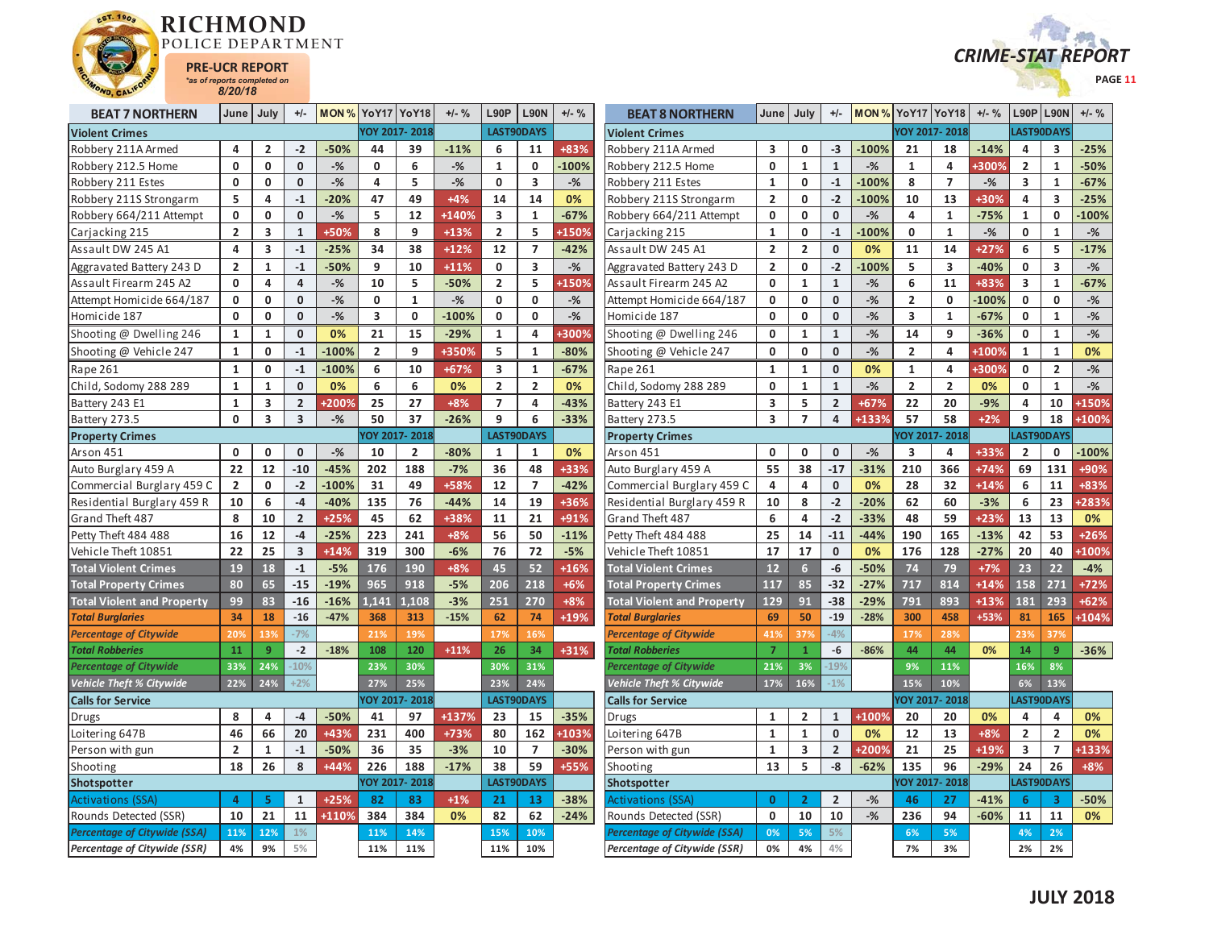



| <b>BEAT 7 NORTHERN</b>              | June           | July                    | $+/-$                   | MON % YoY17 YoY18 |                         |                | $+/-$ % | <b>L90P</b>             | <b>L90N</b>             | $+/-$ % | <b>BEAT 8 NORTHERN</b>            | June                    | July                    | $+/-$                   | <b>MON % YoY17 YoY18</b> |                         |                         | $+/-$ % |                         | $L90P$ L90N             | $+/-$ %     |
|-------------------------------------|----------------|-------------------------|-------------------------|-------------------|-------------------------|----------------|---------|-------------------------|-------------------------|---------|-----------------------------------|-------------------------|-------------------------|-------------------------|--------------------------|-------------------------|-------------------------|---------|-------------------------|-------------------------|-------------|
| <b>Violent Crimes</b>               |                |                         |                         |                   |                         | YOY 2017-2018  |         |                         | LAST90DAYS              |         | <b>Violent Crimes</b>             |                         |                         |                         |                          |                         | YOY 2017-2018           |         |                         | <b>LAST90DAYS</b>       |             |
| Robbery 211A Armed                  | 4              | $\overline{2}$          | $-2$                    | $-50%$            | 44                      | 39             | $-11%$  | 6                       | 11                      | +83%    | Robbery 211A Armed                | 3                       | $\mathbf{0}$            | $-3$                    | $-100%$                  | 21                      | 18                      | $-14%$  | 4                       | $\overline{\mathbf{3}}$ | $-25%$      |
| Robbery 212.5 Home                  | $\mathbf{0}$   | $\mathbf 0$             | $\mathbf{0}$            | $-$ %             | $\mathbf{0}$            | 6              | $-$ %   | $\mathbf{1}$            | $\mathbf 0$             | $-100%$ | Robbery 212.5 Home                | 0                       | $\mathbf{1}$            | $\mathbf{1}$            | $-$ %                    | $\mathbf{1}$            | $\overline{\mathbf{4}}$ | +300%   | $\overline{2}$          | $\mathbf{1}$            | $-50%$      |
| Robbery 211 Estes                   | $\mathbf 0$    | $\mathbf{0}$            | $\mathbf 0$             | $-$ %             | 4                       | 5              | $-$ %   | $\mathbf{0}$            | $\overline{\mathbf{3}}$ | $-$ %   | Robbery 211 Estes                 | $\mathbf{1}$            | $\mathbf 0$             | $-1$                    | $-100%$                  | 8                       | $\overline{7}$          | $-%$    | $\overline{\mathbf{3}}$ | $\mathbf{1}$            | $-67%$      |
| Robbery 211S Strongarm              | 5              | 4                       | $-1$                    | $-20%$            | 47                      | 49             | $+4%$   | 14                      | 14                      | 0%      | Robbery 211S Strongarm            | $\overline{2}$          | 0                       | $-2$                    | $-100%$                  | 10                      | 13                      | +30%    | 4                       | 3                       | $-25%$      |
| Robbery 664/211 Attempt             | 0              | 0                       | $\mathbf{0}$            | $-$ %             | 5                       | 12             | +140%   | $\overline{\mathbf{3}}$ | $\mathbf{1}$            | $-67%$  | Robbery 664/211 Attempt           | 0                       | $\mathbf{0}$            | $\mathbf{0}$            | $-$ %                    | 4                       | $\mathbf{1}$            | $-75%$  | $\mathbf{1}$            | $\mathbf 0$             | $-100%$     |
| Carjacking 215                      | $\overline{2}$ | $\overline{\mathbf{3}}$ | $\mathbf{1}$            | +50%              | 8                       | 9              | $+13%$  | $\overline{2}$          | 5                       | +150%   | Carjacking 215                    | $\mathbf{1}$            | 0                       | $-1$                    | 100%                     | $\mathbf{0}$            | $\mathbf{1}$            | $-$ %   | $\mathbf{0}$            | $\mathbf{1}$            | $-$ %       |
| Assault DW 245 A1                   | 4              | 3                       | $-1$                    | $-25%$            | 34                      | 38             | $+12%$  | 12                      | $\overline{7}$          | $-42%$  | Assault DW 245 A1                 | $\overline{2}$          | $\overline{2}$          | $\mathbf{0}$            | 0%                       | 11                      | 14                      | $+27%$  | 6                       | 5                       | $-17%$      |
| Aggravated Battery 243 D            | $\overline{2}$ | $\mathbf{1}$            | $-1$                    | $-50%$            | 9                       | 10             | $+11%$  | $\mathbf 0$             | $\overline{\mathbf{3}}$ | $-$ %   | Aggravated Battery 243 D          | $\overline{2}$          | $\mathbf 0$             | $-2$                    | 100%                     | 5                       | $\overline{\mathbf{3}}$ | $-40%$  | $\mathbf 0$             | $\overline{\mathbf{3}}$ | $-$ %       |
| Assault Firearm 245 A2              | $\mathbf{0}$   | 4                       | 4                       | $-$ %             | 10                      | 5              | $-50%$  | $\overline{2}$          | 5                       | +150%   | Assault Firearm 245 A2            | 0                       | $\mathbf{1}$            | $\mathbf{1}$            | $-$ %                    | 6                       | 11                      | +83%    | $\overline{\mathbf{3}}$ | $\mathbf{1}$            | $-67%$      |
| Attempt Homicide 664/187            | $\mathbf 0$    | $\mathbf 0$             | $\mathbf{0}$            | $-$ %             | $\mathbf 0$             | $\mathbf{1}$   | $-$ %   | $\mathbf 0$             | $\mathbf 0$             | $-$ %   | Attempt Homicide 664/187          | 0                       | 0                       | $\mathbf 0$             | $-$ %                    | $\overline{2}$          | $\mathbf 0$             | $-100%$ | $\mathbf 0$             | 0                       | $-$ %       |
| Homicide 187                        | $\mathbf{0}$   | $\mathbf 0$             | $\mathbf{0}$            | $-$ %             | $\overline{\mathbf{3}}$ | $\mathbf 0$    | $-100%$ | $\mathbf 0$             | $\mathbf{0}$            | $-$ %   | Homicide 187                      | $\mathbf{0}$            | $\mathbf 0$             | $\mathbf{0}$            | $-$ %                    | $\overline{\mathbf{3}}$ | $\mathbf{1}$            | $-67%$  | $\mathbf 0$             | $\mathbf{1}$            | $-$ %       |
| Shooting @ Dwelling 246             | 1              | 1                       | $\mathbf 0$             | 0%                | 21                      | 15             | $-29%$  | 1                       | 4                       | +300%   | Shooting @ Dwelling 246           | 0                       | 1                       | $\mathbf{1}$            | $-$ %                    | 14                      | 9                       | $-36%$  | 0                       | $\mathbf{1}$            | $-%$        |
| Shooting @ Vehicle 247              | $\mathbf{1}$   | $\mathbf 0$             | $-1$                    | $-100%$           | $\overline{2}$          | 9              | +350%   | 5                       | $\mathbf 1$             | $-80%$  | Shooting @ Vehicle 247            | 0                       | 0                       | 0                       | $-$ %                    | $\overline{2}$          | 4                       | +100%   | $\mathbf 1$             | $\mathbf{1}$            | 0%          |
| Rape 261                            | $\mathbf{1}$   | 0                       | $-1$                    | $-100%$           | 6                       | 10             | $+67%$  | 3                       | 1                       | $-67%$  | Rape 261                          | 1                       | 1                       | 0                       | 0%                       | 1                       | 4                       | +300%   | 0                       | $\overline{2}$          | $-$ %       |
| Child, Sodomy 288 289               | $\mathbf{1}$   | $\mathbf{1}$            | $\mathbf 0$             | 0%                | 6                       | 6              | 0%      | $\overline{2}$          | $\overline{2}$          | 0%      | Child, Sodomy 288 289             | 0                       | $\mathbf{1}$            | $\mathbf{1}$            | $-$ %                    | $\overline{2}$          | $\overline{2}$          | 0%      | $\mathbf 0$             | $\mathbf{1}$            | $-$ %       |
| Battery 243 E1                      | $\mathbf{1}$   | 3                       | $\overline{2}$          | +200%             | 25                      | 27             | +8%     | $\overline{7}$          | $\overline{a}$          | $-43%$  | Battery 243 E1                    | $\overline{\mathbf{3}}$ | 5                       | $\overline{2}$          | $+67%$                   | 22                      | 20                      | $-9%$   | $\overline{a}$          | 10                      | +150%       |
| Battery 273.5                       | $\mathbf 0$    | $\overline{\mathbf{3}}$ | 3                       | $-$ %             | 50                      | 37             | $-26%$  | 9                       | 6                       | $-33%$  | Battery 273.5                     | 3                       | $\overline{7}$          | 4                       | +133%                    | 57                      | 58                      | $+2%$   | 9                       | 18                      | +100%       |
| <b>Property Crimes</b>              |                |                         |                         |                   |                         | OY 2017-2018   |         |                         | LAST90DAYS              |         | <b>Property Crimes</b>            |                         |                         |                         |                          |                         | OY 2017-2018            |         |                         | LAST90DAYS              |             |
| Arson 451                           | $\mathbf 0$    | 0                       | $\mathbf 0$             | $-$ %             | 10                      | $\overline{2}$ | $-80%$  | 1                       | 1                       | 0%      | Arson 451                         | $\mathbf{0}$            | 0                       | 0                       | $-$ %                    | $\overline{\mathbf{3}}$ | $\overline{4}$          | +33%    | $\overline{2}$          | 0                       | $-100%$     |
| Auto Burglary 459 A                 | 22             | 12                      | $-10$                   | $-45%$            | 202                     | 188            | $-7%$   | 36                      | 48                      | +33%    | Auto Burglary 459 A               | 55                      | 38                      | $-17$                   | $-31%$                   | 210                     | 366                     | $+74%$  | 69                      | 131                     | +90%        |
| Commercial Burglary 459 C           | $\overline{2}$ | $\mathbf 0$             | $-2$                    | $-100%$           | 31                      | 49             | +58%    | 12                      | $\overline{7}$          | $-42%$  | Commercial Burglary 459 C         | 4                       | 4                       | $\mathbf 0$             | 0%                       | 28                      | 32                      | $+14%$  | 6                       | 11                      | +83%        |
| Residential Burglary 459 R          | 10             | 6                       | $-4$                    | $-40%$            | 135                     | 76             | $-44%$  | 14                      | 19                      | +36%    | Residential Burglary 459 R        | 10                      | 8                       | $-2$                    | $-20%$                   | 62                      | 60                      | $-3%$   | 6                       | 23                      | <b>283%</b> |
| Grand Theft 487                     | 8              | 10                      | $\overline{2}$          | $+25%$            | 45                      | 62             | +38%    | 11                      | 21                      | +91%    | Grand Theft 487                   | 6                       | 4                       | $-2$                    | $-33%$                   | 48                      | 59                      | +23%    | 13                      | 13                      | 0%          |
| Petty Theft 484 488                 | 16             | 12                      | $-4$                    | $-25%$            | 223                     | 241            | $+8%$   | 56                      | 50                      | $-11%$  | Petty Theft 484 488               | 25                      | 14                      | $-11$                   | $-44%$                   | 190                     | 165                     | $-13%$  | 42                      | 53                      | $+26%$      |
| Vehicle Theft 10851                 | 22             | 25                      | $\overline{\mathbf{3}}$ | $+14%$            | 319                     | 300            | $-6%$   | 76                      | 72                      | $-5%$   | Vehicle Theft 10851               | 17                      | 17                      | $\mathbf{0}$            | 0%                       | 176                     | 128                     | $-27%$  | 20                      | 40                      | <b>100%</b> |
| <b>Total Violent Crimes</b>         | 19             | 18                      | $-1$                    | $-5%$             | 176                     | 190            | +8%     | 45                      | 52                      | $+16%$  | <b>Total Violent Crimes</b>       | 12                      | 6 <sup>1</sup>          | $-6$                    | $-50%$                   | 74                      | 79                      | $+7%$   | 23                      | 22                      | $-4%$       |
| <b>Total Property Crimes</b>        | 80             | 65                      | $-15$                   | $-19%$            | 965                     | 918            | $-5%$   | 206                     | 218                     | $+6%$   | <b>Total Property Crimes</b>      | 117                     | 85                      | $-32$                   | $-27%$                   | 717                     | 814                     | $+14%$  | 158                     | 271                     | $+72%$      |
| <b>Total Violent and Property</b>   | 99             | 83                      | $-16$                   | $-16%$            | 1,141                   | 1.108          | $-3%$   | 251                     | 270                     | $+8%$   | <b>Total Violent and Property</b> | 129                     | 91                      | $-38$                   | $-29%$                   | 791                     | 893                     | +13%    | 181                     | 293                     | $+62%$      |
| <b>Total Burglaries</b>             | 34             | 18                      | $-16$                   | $-47%$            | 368                     | 313            | $-15%$  | 62                      | 74                      | +19%    | <b>Total Burglaries</b>           | 69                      | 50                      | $-19$                   | $-28%$                   | 300                     | 458                     | +53%    | 81                      | 165                     | +104%       |
| <b>Percentage of Citywide</b>       | 20%            | 13%                     | $-7%$                   |                   | 21%                     | 19%            |         | 17%                     | 16%                     |         | <b>Percentage of Citywide</b>     | 41%                     | 37%                     | $-4%$                   |                          | 17%                     | 28%                     |         | 239                     | 379                     |             |
| <b>Total Robberies</b>              | 11             | $\overline{9}$          | $-2$                    | $-18%$            | 108                     | 120            | $+11%$  | 26                      | 34                      | +31%    | <b>Total Robberies</b>            | $\overline{7}$          | $\mathbf{1}$            | -6                      | $-86%$                   | 44                      | 44                      | 0%      | 14                      | 9                       | $-36%$      |
| <b>Percentage of Citywide</b>       | 33%            | 24%                     | $-10%$                  |                   | 23%                     | 30%            |         | 30%                     | 31%                     |         | Percentage of Citywide            | 21%                     | 3%                      | 19%                     |                          | 9%                      | 11%                     |         | 16%                     | 8%                      |             |
| Vehicle Theft % Citywide            | 22%            | 24%                     | $+2%$                   |                   | 27%                     | 25%            |         | 23%                     | 24%                     |         | <b>Vehicle Theft % Citywide</b>   | 17%                     | 16%                     | $-1%$                   |                          | 15%                     | 10%                     |         | 6%                      | 13%                     |             |
| <b>Calls for Service</b>            |                |                         |                         |                   |                         | YOY 2017-2018  |         |                         | LAST90DAYS              |         | <b>Calls for Service</b>          |                         |                         |                         |                          |                         | YOY 2017-2018           |         |                         | LAST90DAYS              |             |
| Drugs                               | 8              | 4                       | $-4$                    | $-50%$            | 41                      | 97             | +137%   | 23                      | 15                      | $-35%$  | Drugs                             | 1                       | $\overline{2}$          | $\mathbf{1}$            | +100%                    | 20                      | 20                      | 0%      | 4                       | 4                       | 0%          |
| Loitering 647B                      | 46             | 66                      | 20                      | +43%              | 231                     | 400            | +73%    | 80                      | 162                     | +103%   | Loitering 647B                    | $\mathbf{1}$            | $\mathbf{1}$            | $\mathbf{0}$            | 0%                       | 12                      | 13                      | $+8%$   | $\overline{2}$          | $\overline{2}$          | 0%          |
| Person with gun                     | $\overline{2}$ | 1                       | $-1$                    | $-50%$            | 36                      | 35             | $-3%$   | 10                      | $\overline{7}$          | $-30%$  | Person with gun                   | 1                       | 3                       | $\overline{2}$          | +200%                    | 21                      | 25                      | +19%    | 3                       | $\overline{7}$          | +133%       |
| Shooting                            | 18             | 26                      | 8                       | +44%              | 226                     | 188            | $-17%$  | 38                      | 59                      | +55%    | Shooting                          | 13                      | 5                       | $-8$                    | $-62%$                   | 135                     | 96                      | $-29%$  | 24                      | 26                      | $+8%$       |
| Shotspotter                         |                |                         |                         |                   |                         | YOY 2017-2018  |         |                         | LAST90DAYS              |         | Shotspotter                       |                         |                         |                         |                          |                         | OY 2017-2018            |         |                         | LAST90DAYS              |             |
| <b>Activations (SSA)</b>            | $\overline{a}$ | 5                       | $\mathbf{1}$            | $+25%$            | 82                      | 83             | $+1%$   | 21                      | 13                      | $-38%$  | Activations (SSA)                 | $\Omega$                | $\overline{\mathbf{z}}$ | $\overline{\mathbf{2}}$ | $-%$                     | 46                      | 27                      | $-41%$  | $6\phantom{1}6$         | $\overline{\mathbf{3}}$ | $-50%$      |
| Rounds Detected (SSR)               | 10             | 21                      | 11                      | +110%             | 384                     | 384            | 0%      | 82                      | 62                      | $-24%$  | Rounds Detected (SSR)             | 0                       | 10                      | 10                      | $-$ %                    | 236                     | 94                      | $-60%$  | 11                      | 11                      | 0%          |
| <b>Percentage of Citywide (SSA)</b> | 11%            | 12%                     | 1%                      |                   | 11%                     | 14%            |         | 15%                     | 10%                     |         | Percentage of Citywide (SSA)      | 0%                      | 5%                      | 5%                      |                          | 6%                      | 5%                      |         | 4%                      | 2%                      |             |
| <b>Percentage of Citywide (SSR)</b> | 4%             | 9%                      | 5%                      |                   | 11%                     | 11%            |         | 11%                     | 10%                     |         | Percentage of Citywide (SSR)      | 0%                      | 4%                      | 4%                      |                          | 7%                      | 3%                      |         | 2%                      | 2%                      |             |